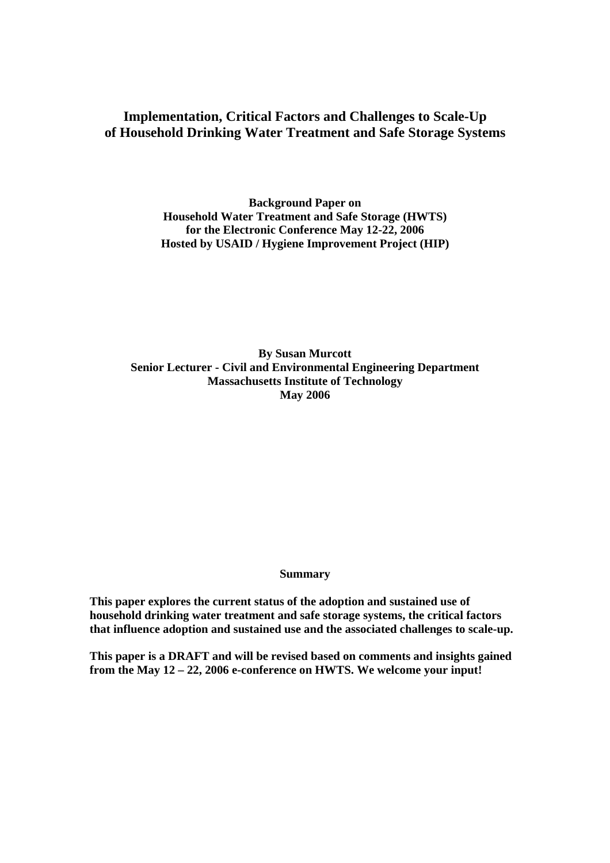## **Implementation, Critical Factors and Challenges to Scale-Up of Household Drinking Water Treatment and Safe Storage Systems**

**Background Paper on Household Water Treatment and Safe Storage (HWTS) for the Electronic Conference May 12-22, 2006 Hosted by USAID / Hygiene Improvement Project (HIP)** 

**By Susan Murcott Senior Lecturer - Civil and Environmental Engineering Department Massachusetts Institute of Technology May 2006** 

**Summary** 

**This paper explores the current status of the adoption and sustained use of household drinking water treatment and safe storage systems, the critical factors that influence adoption and sustained use and the associated challenges to scale-up.** 

**This paper is a DRAFT and will be revised based on comments and insights gained from the May 12 – 22, 2006 e-conference on HWTS. We welcome your input!**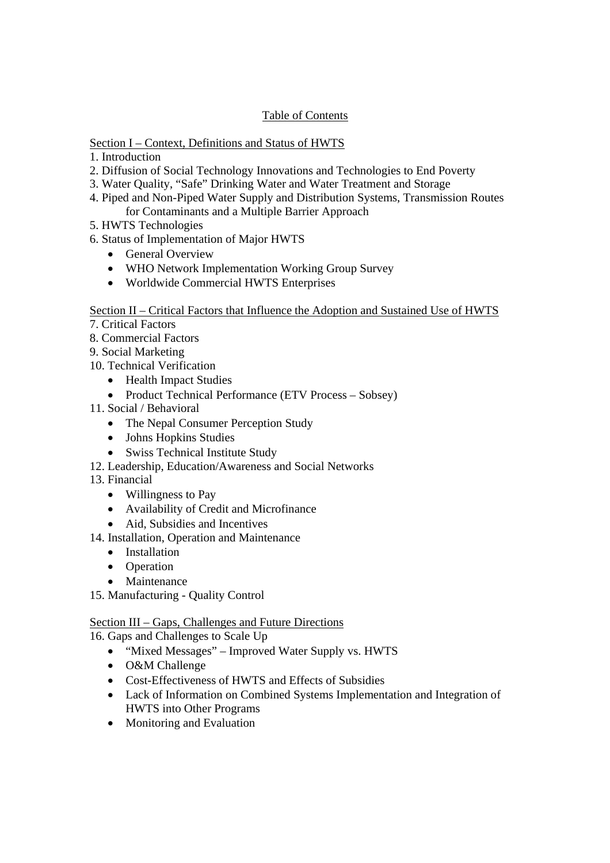## Table of Contents

## Section I – Context, Definitions and Status of HWTS

- 1. Introduction
- 2. Diffusion of Social Technology Innovations and Technologies to End Poverty
- 3. Water Quality, "Safe" Drinking Water and Water Treatment and Storage
- 4. Piped and Non-Piped Water Supply and Distribution Systems, Transmission Routes for Contaminants and a Multiple Barrier Approach
- 5. HWTS Technologies
- 6. Status of Implementation of Major HWTS
	- General Overview
	- WHO Network Implementation Working Group Survey
	- Worldwide Commercial HWTS Enterprises

## Section II – Critical Factors that Influence the Adoption and Sustained Use of HWTS

- 7. Critical Factors
- 8. Commercial Factors
- 9. Social Marketing
- 10. Technical Verification
	- Health Impact Studies
	- Product Technical Performance (ETV Process Sobsey)
- 11. Social / Behavioral
	- The Nepal Consumer Perception Study
	- Johns Hopkins Studies
	- Swiss Technical Institute Study
- 12. Leadership, Education/Awareness and Social Networks
- 13. Financial
	- Willingness to Pay
	- Availability of Credit and Microfinance
	- Aid, Subsidies and Incentives
- 14. Installation, Operation and Maintenance
	- Installation
	- Operation
	- Maintenance
- 15. Manufacturing Quality Control

## Section III – Gaps, Challenges and Future Directions

16. Gaps and Challenges to Scale Up

- "Mixed Messages" Improved Water Supply vs. HWTS
- O&M Challenge
- Cost-Effectiveness of HWTS and Effects of Subsidies
- Lack of Information on Combined Systems Implementation and Integration of HWTS into Other Programs
- Monitoring and Evaluation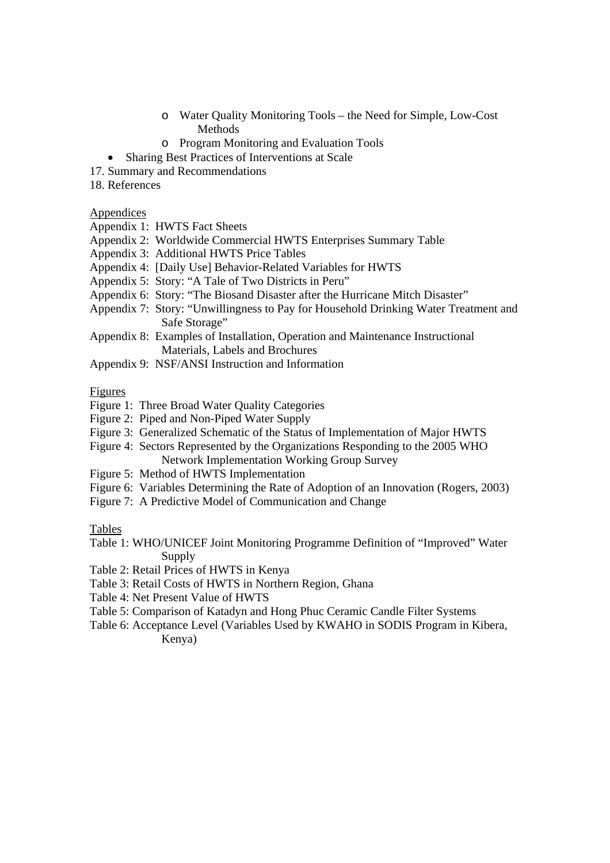- o Water Quality Monitoring Tools the Need for Simple, Low-Cost Methods
- o Program Monitoring and Evaluation Tools
- Sharing Best Practices of Interventions at Scale
- 17. Summary and Recommendations
- 18. References

#### Appendices

Appendix 1: HWTS Fact Sheets

- Appendix 2: Worldwide Commercial HWTS Enterprises Summary Table
- Appendix 3: Additional HWTS Price Tables
- Appendix 4: [Daily Use] Behavior-Related Variables for HWTS
- Appendix 5: Story: "A Tale of Two Districts in Peru"
- Appendix 6: Story: "The Biosand Disaster after the Hurricane Mitch Disaster"
- Appendix 7: Story: "Unwillingness to Pay for Household Drinking Water Treatment and Safe Storage"
- Appendix 8: Examples of Installation, Operation and Maintenance Instructional Materials, Labels and Brochures
- Appendix 9: NSF/ANSI Instruction and Information

#### Figures

- Figure 1: Three Broad Water Quality Categories
- Figure 2: Piped and Non-Piped Water Supply
- Figure 3: Generalized Schematic of the Status of Implementation of Major HWTS
- Figure 4: Sectors Represented by the Organizations Responding to the 2005 WHO
- Network Implementation Working Group Survey Figure 5: Method of HWTS Implementation
- Figure 6: Variables Determining the Rate of Adoption of an Innovation (Rogers, 2003)
- Figure 7: A Predictive Model of Communication and Change

Tables

- Table 1: WHO/UNICEF Joint Monitoring Programme Definition of "Improved" Water Supply
- Table 2: Retail Prices of HWTS in Kenya
- Table 3: Retail Costs of HWTS in Northern Region, Ghana
- Table 4: Net Present Value of HWTS
- Table 5: Comparison of Katadyn and Hong Phuc Ceramic Candle Filter Systems
- Table 6: Acceptance Level (Variables Used by KWAHO in SODIS Program in Kibera, Kenya)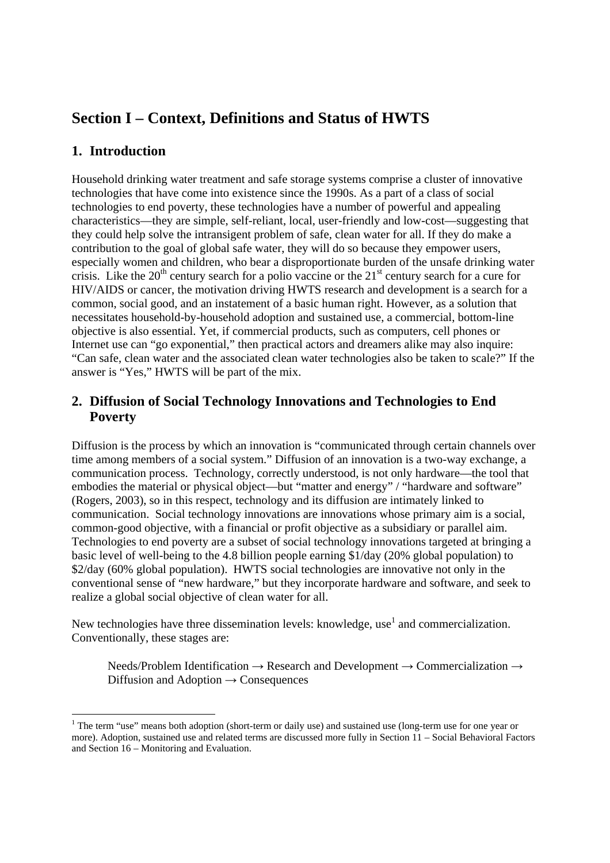# **Section I – Context, Definitions and Status of HWTS**

# **1. Introduction**

-

Household drinking water treatment and safe storage systems comprise a cluster of innovative technologies that have come into existence since the 1990s. As a part of a class of social technologies to end poverty, these technologies have a number of powerful and appealing characteristics—they are simple, self-reliant, local, user-friendly and low-cost—suggesting that they could help solve the intransigent problem of safe, clean water for all. If they do make a contribution to the goal of global safe water, they will do so because they empower users, especially women and children, who bear a disproportionate burden of the unsafe drinking water crisis. Like the  $20<sup>th</sup>$  century search for a polio vaccine or the  $21<sup>st</sup>$  century search for a cure for HIV/AIDS or cancer, the motivation driving HWTS research and development is a search for a common, social good, and an instatement of a basic human right. However, as a solution that necessitates household-by-household adoption and sustained use, a commercial, bottom-line objective is also essential. Yet, if commercial products, such as computers, cell phones or Internet use can "go exponential," then practical actors and dreamers alike may also inquire: "Can safe, clean water and the associated clean water technologies also be taken to scale?" If the answer is "Yes," HWTS will be part of the mix.

# **2. Diffusion of Social Technology Innovations and Technologies to End Poverty**

Diffusion is the process by which an innovation is "communicated through certain channels over time among members of a social system." Diffusion of an innovation is a two-way exchange, a communication process. Technology, correctly understood, is not only hardware—the tool that embodies the material or physical object—but "matter and energy" / "hardware and software" (Rogers, 2003), so in this respect, technology and its diffusion are intimately linked to communication. Social technology innovations are innovations whose primary aim is a social, common-good objective, with a financial or profit objective as a subsidiary or parallel aim. Technologies to end poverty are a subset of social technology innovations targeted at bringing a basic level of well-being to the 4.8 billion people earning \$1/day (20% global population) to \$2/day (60% global population). HWTS social technologies are innovative not only in the conventional sense of "new hardware," but they incorporate hardware and software, and seek to realize a global social objective of clean water for all.

New technologies have three dissemination levels: knowledge, use<sup>1</sup> and commercialization. Conventionally, these stages are:

Needs/Problem Identification → Research and Development → Commercialization → Diffusion and Adoption  $\rightarrow$  Consequences

<sup>&</sup>lt;sup>1</sup> The term "use" means both adoption (short-term or daily use) and sustained use (long-term use for one year or more). Adoption, sustained use and related terms are discussed more fully in Section 11 – Social Behavioral Factors and Section 16 – Monitoring and Evaluation.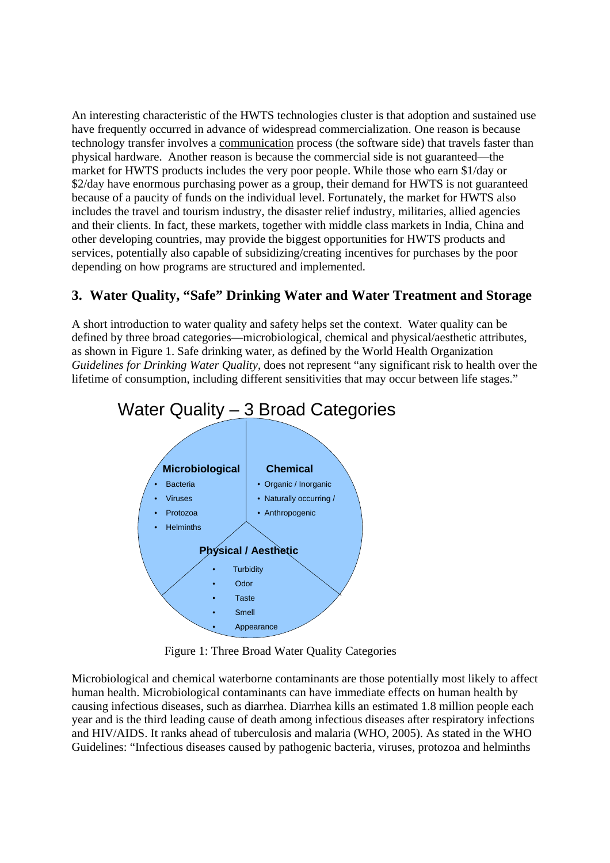An interesting characteristic of the HWTS technologies cluster is that adoption and sustained use have frequently occurred in advance of widespread commercialization. One reason is because technology transfer involves a communication process (the software side) that travels faster than physical hardware. Another reason is because the commercial side is not guaranteed—the market for HWTS products includes the very poor people. While those who earn \$1/day or \$2/day have enormous purchasing power as a group, their demand for HWTS is not guaranteed because of a paucity of funds on the individual level. Fortunately, the market for HWTS also includes the travel and tourism industry, the disaster relief industry, militaries, allied agencies and their clients. In fact, these markets, together with middle class markets in India, China and other developing countries, may provide the biggest opportunities for HWTS products and services, potentially also capable of subsidizing/creating incentives for purchases by the poor depending on how programs are structured and implemented.

# **3. Water Quality, "Safe" Drinking Water and Water Treatment and Storage**

A short introduction to water quality and safety helps set the context. Water quality can be defined by three broad categories—microbiological, chemical and physical/aesthetic attributes, as shown in Figure 1. Safe drinking water, as defined by the World Health Organization *Guidelines for Drinking Water Quality*, does not represent "any significant risk to health over the lifetime of consumption, including different sensitivities that may occur between life stages."



Figure 1: Three Broad Water Quality Categories

Microbiological and chemical waterborne contaminants are those potentially most likely to affect human health. Microbiological contaminants can have immediate effects on human health by causing infectious diseases, such as diarrhea. Diarrhea kills an estimated 1.8 million people each year and is the third leading cause of death among infectious diseases after respiratory infections and HIV/AIDS. It ranks ahead of tuberculosis and malaria (WHO, 2005). As stated in the WHO Guidelines: "Infectious diseases caused by pathogenic bacteria, viruses, protozoa and helminths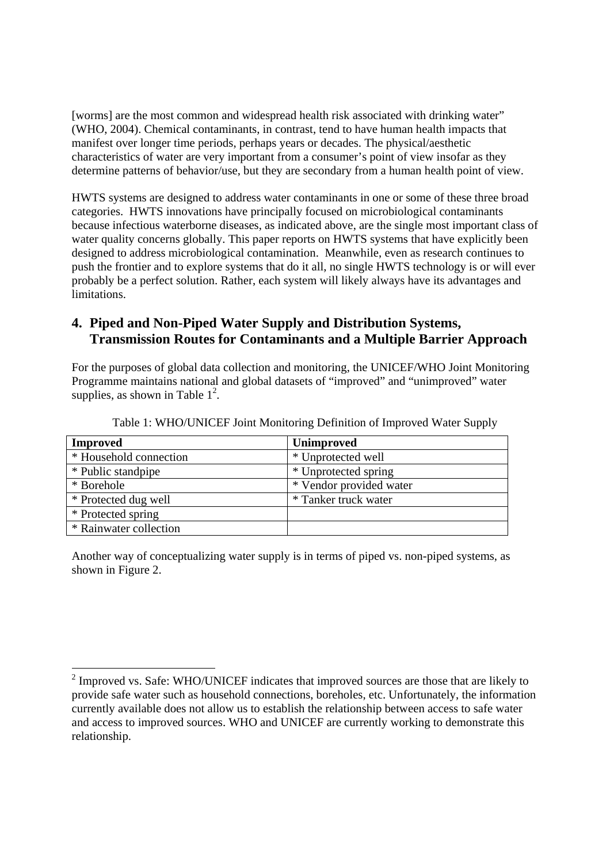[worms] are the most common and widespread health risk associated with drinking water" (WHO, 2004). Chemical contaminants, in contrast, tend to have human health impacts that manifest over longer time periods, perhaps years or decades. The physical/aesthetic characteristics of water are very important from a consumer's point of view insofar as they determine patterns of behavior/use, but they are secondary from a human health point of view.

HWTS systems are designed to address water contaminants in one or some of these three broad categories. HWTS innovations have principally focused on microbiological contaminants because infectious waterborne diseases, as indicated above, are the single most important class of water quality concerns globally. This paper reports on HWTS systems that have explicitly been designed to address microbiological contamination. Meanwhile, even as research continues to push the frontier and to explore systems that do it all, no single HWTS technology is or will ever probably be a perfect solution. Rather, each system will likely always have its advantages and limitations.

# **4. Piped and Non-Piped Water Supply and Distribution Systems, Transmission Routes for Contaminants and a Multiple Barrier Approach**

For the purposes of global data collection and monitoring, the UNICEF/WHO Joint Monitoring Programme maintains national and global datasets of "improved" and "unimproved" water supplies, as shown in Table  $1^2$ .

| <b>Improved</b>        | <b>Unimproved</b>       |
|------------------------|-------------------------|
| * Household connection | * Unprotected well      |
| * Public standpipe     | * Unprotected spring    |
| * Borehole             | * Vendor provided water |
| * Protected dug well   | * Tanker truck water    |
| * Protected spring     |                         |
| * Rainwater collection |                         |

Table 1: WHO/UNICEF Joint Monitoring Definition of Improved Water Supply

Another way of conceptualizing water supply is in terms of piped vs. non-piped systems, as shown in Figure 2.

 $\overline{a}$ 

 $2 \text{ Improved vs. Safe: WHO/UNICEF indicates that improved sources are those that are likely to }$ provide safe water such as household connections, boreholes, etc. Unfortunately, the information currently available does not allow us to establish the relationship between access to safe water and access to improved sources. WHO and UNICEF are currently working to demonstrate this relationship.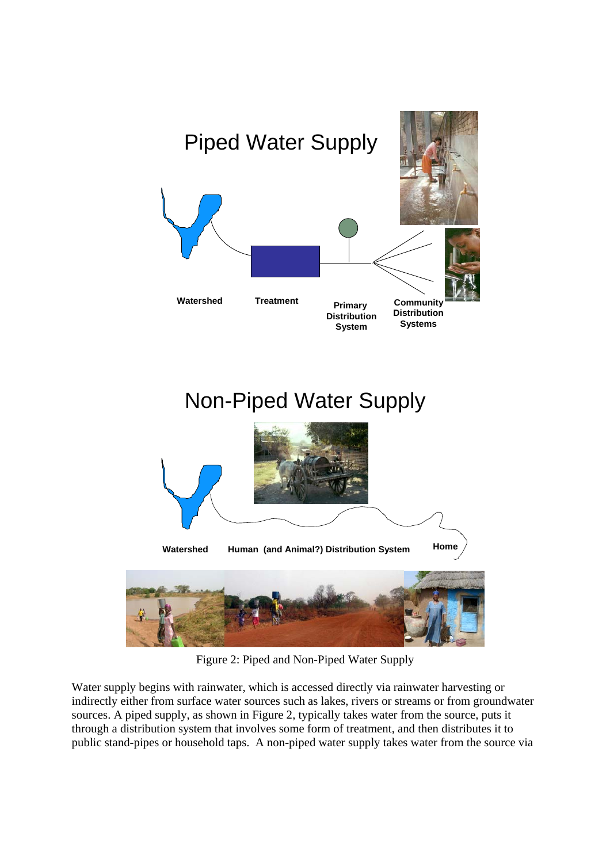

Figure 2: Piped and Non-Piped Water Supply

Water supply begins with rainwater, which is accessed directly via rainwater harvesting or indirectly either from surface water sources such as lakes, rivers or streams or from groundwater sources. A piped supply, as shown in Figure 2, typically takes water from the source, puts it through a distribution system that involves some form of treatment, and then distributes it to public stand-pipes or household taps. A non-piped water supply takes water from the source via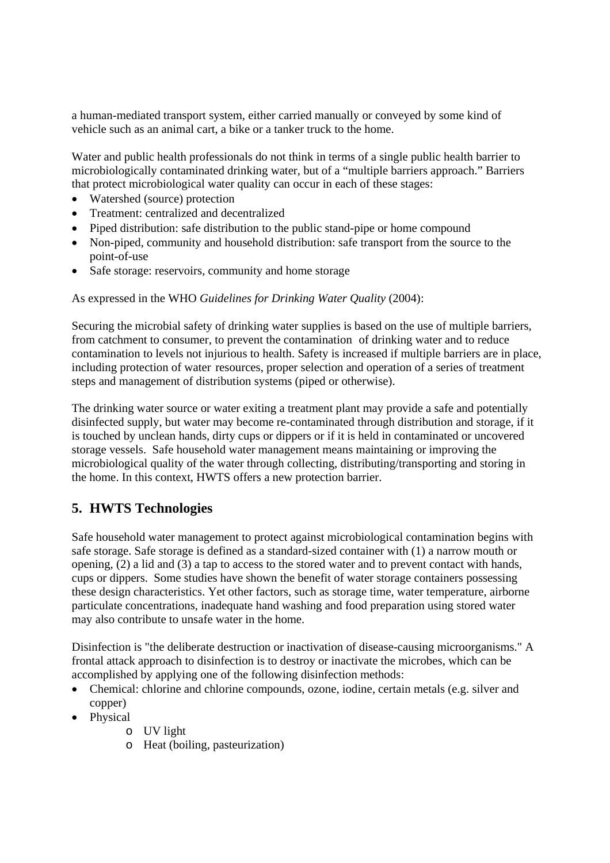a human-mediated transport system, either carried manually or conveyed by some kind of vehicle such as an animal cart, a bike or a tanker truck to the home.

Water and public health professionals do not think in terms of a single public health barrier to microbiologically contaminated drinking water, but of a "multiple barriers approach." Barriers that protect microbiological water quality can occur in each of these stages:

- Watershed (source) protection
- Treatment: centralized and decentralized
- Piped distribution: safe distribution to the public stand-pipe or home compound
- Non-piped, community and household distribution: safe transport from the source to the point-of-use
- Safe storage: reservoirs, community and home storage

As expressed in the WHO *Guidelines for Drinking Water Quality* (2004):

Securing the microbial safety of drinking water supplies is based on the use of multiple barriers, from catchment to consumer, to prevent the contamination of drinking water and to reduce contamination to levels not injurious to health. Safety is increased if multiple barriers are in place, including protection of water resources, proper selection and operation of a series of treatment steps and management of distribution systems (piped or otherwise).

The drinking water source or water exiting a treatment plant may provide a safe and potentially disinfected supply, but water may become re-contaminated through distribution and storage, if it is touched by unclean hands, dirty cups or dippers or if it is held in contaminated or uncovered storage vessels. Safe household water management means maintaining or improving the microbiological quality of the water through collecting, distributing/transporting and storing in the home. In this context, HWTS offers a new protection barrier.

# **5. HWTS Technologies**

Safe household water management to protect against microbiological contamination begins with safe storage. Safe storage is defined as a standard-sized container with (1) a narrow mouth or opening, (2) a lid and (3) a tap to access to the stored water and to prevent contact with hands, cups or dippers. Some studies have shown the benefit of water storage containers possessing these design characteristics. Yet other factors, such as storage time, water temperature, airborne particulate concentrations, inadequate hand washing and food preparation using stored water may also contribute to unsafe water in the home.

Disinfection is "the deliberate destruction or inactivation of disease-causing microorganisms." A frontal attack approach to disinfection is to destroy or inactivate the microbes, which can be accomplished by applying one of the following disinfection methods:

- Chemical: chlorine and chlorine compounds, ozone, iodine, certain metals (e.g. silver and copper)
- Physical
	- o UV light
	- o Heat (boiling, pasteurization)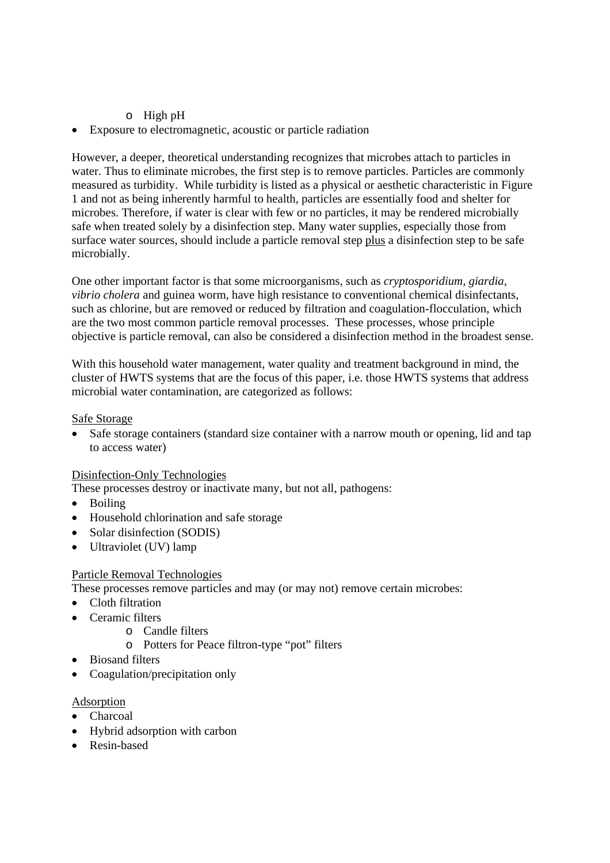## o High pH

• Exposure to electromagnetic, acoustic or particle radiation

However, a deeper, theoretical understanding recognizes that microbes attach to particles in water. Thus to eliminate microbes, the first step is to remove particles. Particles are commonly measured as turbidity. While turbidity is listed as a physical or aesthetic characteristic in Figure 1 and not as being inherently harmful to health, particles are essentially food and shelter for microbes. Therefore, if water is clear with few or no particles, it may be rendered microbially safe when treated solely by a disinfection step. Many water supplies, especially those from surface water sources, should include a particle removal step plus a disinfection step to be safe microbially.

One other important factor is that some microorganisms, such as *cryptosporidium, giardia, vibrio cholera* and guinea worm, have high resistance to conventional chemical disinfectants, such as chlorine, but are removed or reduced by filtration and coagulation-flocculation, which are the two most common particle removal processes. These processes, whose principle objective is particle removal, can also be considered a disinfection method in the broadest sense.

With this household water management, water quality and treatment background in mind, the cluster of HWTS systems that are the focus of this paper, i.e. those HWTS systems that address microbial water contamination, are categorized as follows:

#### Safe Storage

• Safe storage containers (standard size container with a narrow mouth or opening, lid and tap to access water)

### Disinfection-Only Technologies

These processes destroy or inactivate many, but not all, pathogens:

- Boiling
- Household chlorination and safe storage
- Solar disinfection (SODIS)
- Ultraviolet (UV) lamp

### Particle Removal Technologies

These processes remove particles and may (or may not) remove certain microbes:

- Cloth filtration
- Ceramic filters
	- o Candle filters
	- o Potters for Peace filtron-type "pot" filters
- Biosand filters
- Coagulation/precipitation only

### Adsorption

- Charcoal
- Hybrid adsorption with carbon
- Resin-based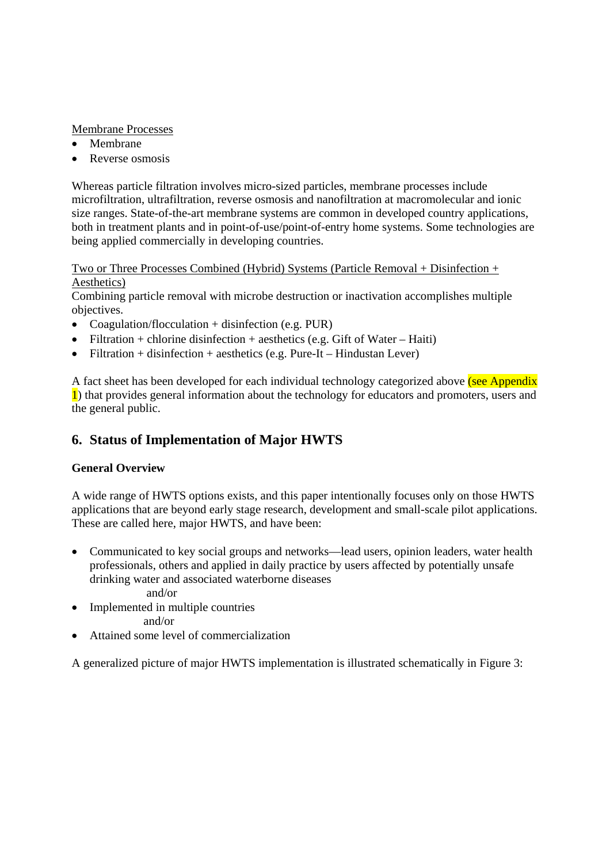## Membrane Processes

- Membrane
- Reverse osmosis

Whereas particle filtration involves micro-sized particles, membrane processes include microfiltration, ultrafiltration, reverse osmosis and nanofiltration at macromolecular and ionic size ranges. State-of-the-art membrane systems are common in developed country applications, both in treatment plants and in point-of-use/point-of-entry home systems. Some technologies are being applied commercially in developing countries.

Two or Three Processes Combined (Hybrid) Systems (Particle Removal + Disinfection + Aesthetics)

Combining particle removal with microbe destruction or inactivation accomplishes multiple objectives.

- Coagulation/flocculation + disinfection (e.g. PUR)
- Filtration + chlorine disinfection + aesthetics (e.g. Gift of Water Haiti)
- Filtration + disinfection + aesthetics (e.g. Pure-It Hindustan Lever)

A fact sheet has been developed for each individual technology categorized above (see Appendix 1) that provides general information about the technology for educators and promoters, users and the general public.

# **6. Status of Implementation of Major HWTS**

## **General Overview**

A wide range of HWTS options exists, and this paper intentionally focuses only on those HWTS applications that are beyond early stage research, development and small-scale pilot applications. These are called here, major HWTS, and have been:

- Communicated to key social groups and networks—lead users, opinion leaders, water health professionals, others and applied in daily practice by users affected by potentially unsafe drinking water and associated waterborne diseases and/or
- Implemented in multiple countries
	- and/or
- Attained some level of commercialization

A generalized picture of major HWTS implementation is illustrated schematically in Figure 3: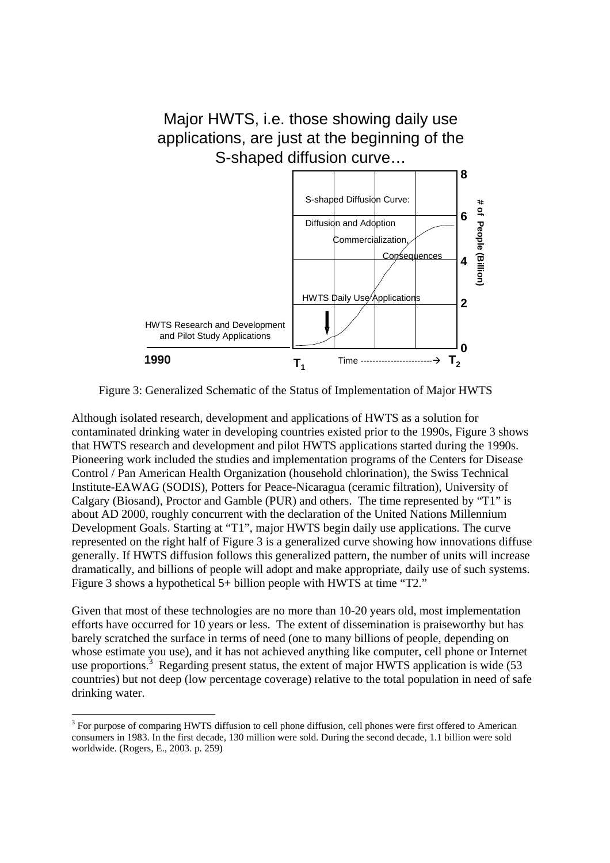

Figure 3: Generalized Schematic of the Status of Implementation of Major HWTS

Although isolated research, development and applications of HWTS as a solution for contaminated drinking water in developing countries existed prior to the 1990s, Figure 3 shows that HWTS research and development and pilot HWTS applications started during the 1990s. Pioneering work included the studies and implementation programs of the Centers for Disease Control / Pan American Health Organization (household chlorination), the Swiss Technical Institute-EAWAG (SODIS), Potters for Peace-Nicaragua (ceramic filtration), University of Calgary (Biosand), Proctor and Gamble (PUR) and others. The time represented by "T1" is about AD 2000, roughly concurrent with the declaration of the United Nations Millennium Development Goals. Starting at "T1", major HWTS begin daily use applications. The curve represented on the right half of Figure 3 is a generalized curve showing how innovations diffuse generally. If HWTS diffusion follows this generalized pattern, the number of units will increase dramatically, and billions of people will adopt and make appropriate, daily use of such systems. Figure 3 shows a hypothetical 5+ billion people with HWTS at time "T2."

Given that most of these technologies are no more than 10-20 years old, most implementation efforts have occurred for 10 years or less. The extent of dissemination is praiseworthy but has barely scratched the surface in terms of need (one to many billions of people, depending on whose estimate you use), and it has not achieved anything like computer, cell phone or Internet use proportions.<sup>3</sup> Regarding present status, the extent of major HWTS application is wide  $(53)$ countries) but not deep (low percentage coverage) relative to the total population in need of safe drinking water.

-

<sup>&</sup>lt;sup>3</sup> For purpose of comparing HWTS diffusion to cell phone diffusion, cell phones were first offered to American consumers in 1983. In the first decade, 130 million were sold. During the second decade, 1.1 billion were sold worldwide. (Rogers, E., 2003. p. 259)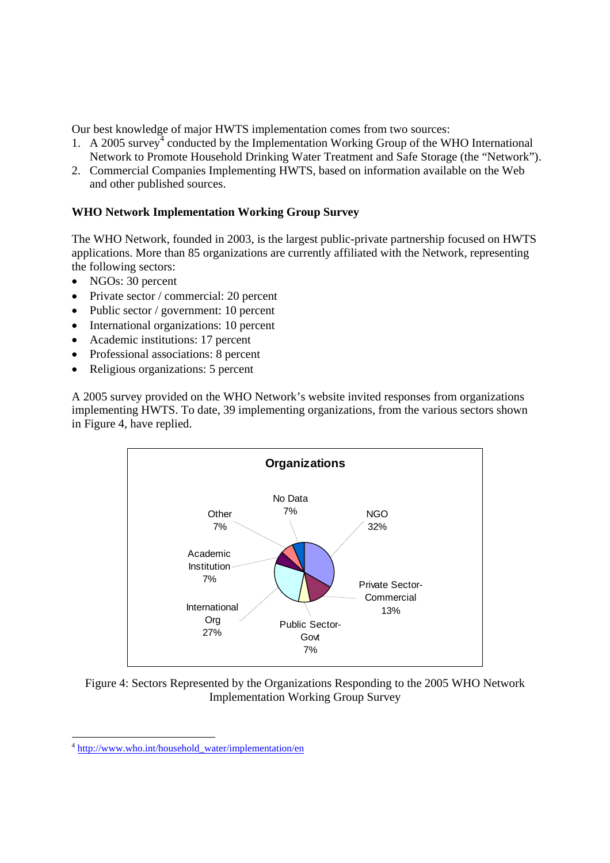Our best knowledge of major HWTS implementation comes from two sources:

- 1. A 2005 survey<sup>4</sup> conducted by the Implementation Working Group of the WHO International Network to Promote Household Drinking Water Treatment and Safe Storage (the "Network").
- 2. Commercial Companies Implementing HWTS, based on information available on the Web and other published sources.

## **WHO Network Implementation Working Group Survey**

The WHO Network, founded in 2003, is the largest public-private partnership focused on HWTS applications. More than 85 organizations are currently affiliated with the Network, representing the following sectors:

- NGOs: 30 percent
- Private sector / commercial: 20 percent
- Public sector / government: 10 percent
- International organizations: 10 percent
- Academic institutions: 17 percent
- Professional associations: 8 percent
- Religious organizations: 5 percent

A 2005 survey provided on the WHO Network's website invited responses from organizations implementing HWTS. To date, 39 implementing organizations, from the various sectors shown in Figure 4, have replied.



Figure 4: Sectors Represented by the Organizations Responding to the 2005 WHO Network Implementation Working Group Survey

1

<sup>4</sup> http://www.who.int/household\_water/implementation/en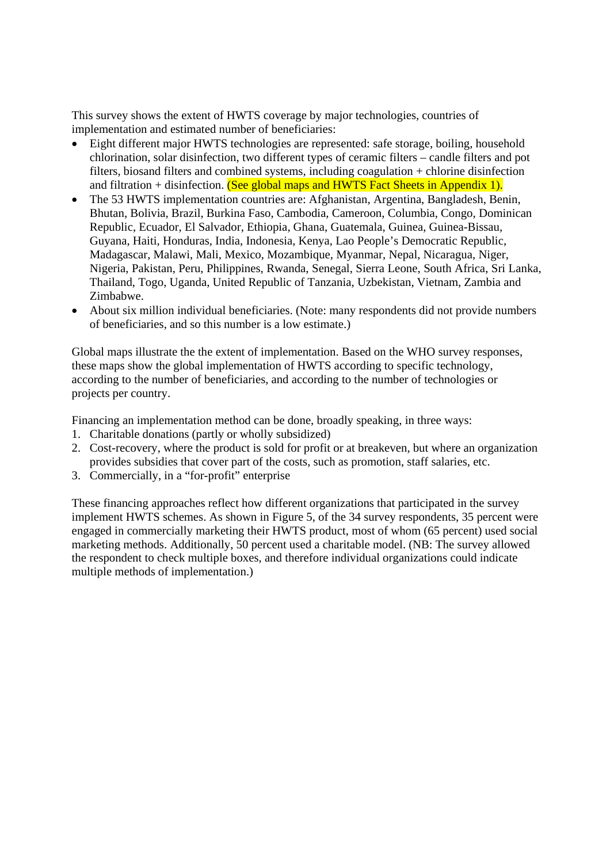This survey shows the extent of HWTS coverage by major technologies, countries of implementation and estimated number of beneficiaries:

- Eight different major HWTS technologies are represented: safe storage, boiling, household chlorination, solar disinfection, two different types of ceramic filters – candle filters and pot filters, biosand filters and combined systems, including coagulation + chlorine disinfection and filtration + disinfection. (See global maps and HWTS Fact Sheets in Appendix 1).
- The 53 HWTS implementation countries are: Afghanistan, Argentina, Bangladesh, Benin, Bhutan, Bolivia, Brazil, Burkina Faso, Cambodia, Cameroon, Columbia, Congo, Dominican Republic, Ecuador, El Salvador, Ethiopia, Ghana, Guatemala, Guinea, Guinea-Bissau, Guyana, Haiti, Honduras, India, Indonesia, Kenya, Lao People's Democratic Republic, Madagascar, Malawi, Mali, Mexico, Mozambique, Myanmar, Nepal, Nicaragua, Niger, Nigeria, Pakistan, Peru, Philippines, Rwanda, Senegal, Sierra Leone, South Africa, Sri Lanka, Thailand, Togo, Uganda, United Republic of Tanzania, Uzbekistan, Vietnam, Zambia and Zimbabwe.
- About six million individual beneficiaries. (Note: many respondents did not provide numbers of beneficiaries, and so this number is a low estimate.)

Global maps illustrate the the extent of implementation. Based on the WHO survey responses, these maps show the global implementation of HWTS according to specific technology, according to the number of beneficiaries, and according to the number of technologies or projects per country.

Financing an implementation method can be done, broadly speaking, in three ways:

- 1. Charitable donations (partly or wholly subsidized)
- 2. Cost-recovery, where the product is sold for profit or at breakeven, but where an organization provides subsidies that cover part of the costs, such as promotion, staff salaries, etc.
- 3. Commercially, in a "for-profit" enterprise

These financing approaches reflect how different organizations that participated in the survey implement HWTS schemes. As shown in Figure 5, of the 34 survey respondents, 35 percent were engaged in commercially marketing their HWTS product, most of whom (65 percent) used social marketing methods. Additionally, 50 percent used a charitable model. (NB: The survey allowed the respondent to check multiple boxes, and therefore individual organizations could indicate multiple methods of implementation.)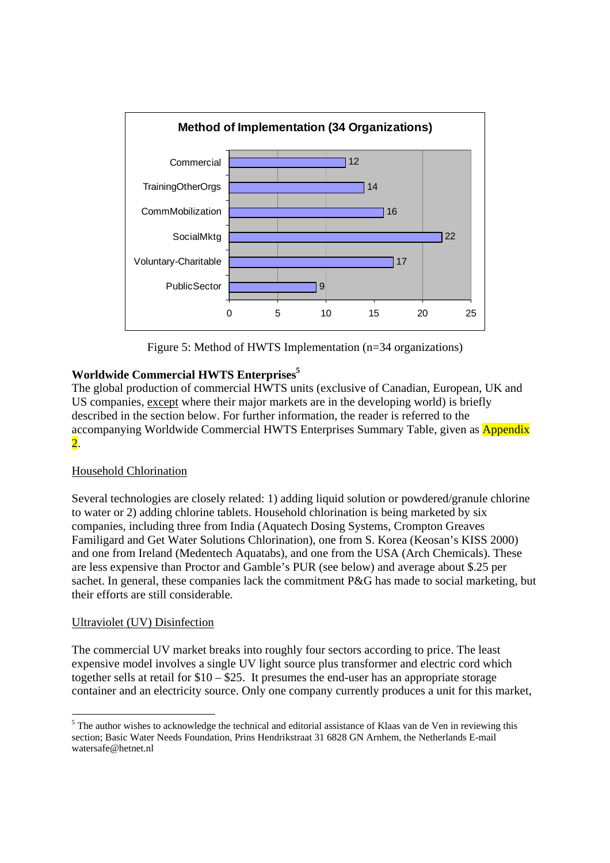

Figure 5: Method of HWTS Implementation (n=34 organizations)

# **Worldwide Commercial HWTS Enterprises5**

The global production of commercial HWTS units (exclusive of Canadian, European, UK and US companies, except where their major markets are in the developing world) is briefly described in the section below. For further information, the reader is referred to the accompanying Worldwide Commercial HWTS Enterprises Summary Table, given as Appendix 2.

# Household Chlorination

Several technologies are closely related: 1) adding liquid solution or powdered/granule chlorine to water or 2) adding chlorine tablets. Household chlorination is being marketed by six companies, including three from India (Aquatech Dosing Systems, Crompton Greaves Familigard and Get Water Solutions Chlorination), one from S. Korea (Keosan's KISS 2000) and one from Ireland (Medentech Aquatabs), and one from the USA (Arch Chemicals). These are less expensive than Proctor and Gamble's PUR (see below) and average about \$.25 per sachet. In general, these companies lack the commitment P&G has made to social marketing, but their efforts are still considerable.

## Ultraviolet (UV) Disinfection

-

The commercial UV market breaks into roughly four sectors according to price. The least expensive model involves a single UV light source plus transformer and electric cord which together sells at retail for \$10 – \$25. It presumes the end-user has an appropriate storage container and an electricity source. Only one company currently produces a unit for this market,

<sup>&</sup>lt;sup>5</sup> The author wishes to acknowledge the technical and editorial assistance of Klaas van de Ven in reviewing this section; Basic Water Needs Foundation, Prins Hendrikstraat 31 6828 GN Arnhem, the Netherlands E-mail watersafe@hetnet.nl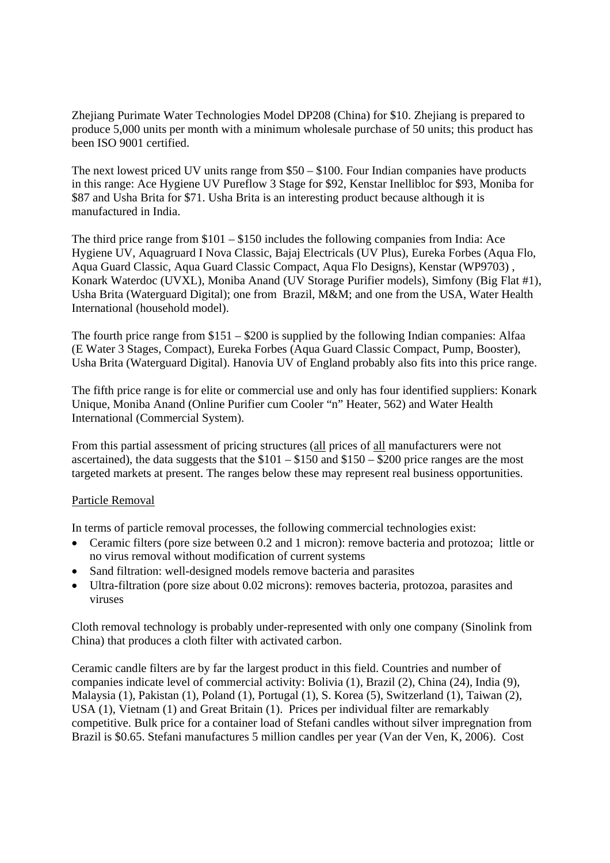Zhejiang Purimate Water Technologies Model DP208 (China) for \$10. Zhejiang is prepared to produce 5,000 units per month with a minimum wholesale purchase of 50 units; this product has been ISO 9001 certified.

The next lowest priced UV units range from \$50 – \$100. Four Indian companies have products in this range: Ace Hygiene UV Pureflow 3 Stage for \$92, Kenstar Inellibloc for \$93, Moniba for \$87 and Usha Brita for \$71. Usha Brita is an interesting product because although it is manufactured in India.

The third price range from \$101 – \$150 includes the following companies from India: Ace Hygiene UV, Aquagruard I Nova Classic, Bajaj Electricals (UV Plus), Eureka Forbes (Aqua Flo, Aqua Guard Classic, Aqua Guard Classic Compact, Aqua Flo Designs), Kenstar (WP9703) , Konark Waterdoc (UVXL), Moniba Anand (UV Storage Purifier models), Simfony (Big Flat #1), Usha Brita (Waterguard Digital); one from Brazil, M&M; and one from the USA, Water Health International (household model).

The fourth price range from \$151 – \$200 is supplied by the following Indian companies: Alfaa (E Water 3 Stages, Compact), Eureka Forbes (Aqua Guard Classic Compact, Pump, Booster), Usha Brita (Waterguard Digital). Hanovia UV of England probably also fits into this price range.

The fifth price range is for elite or commercial use and only has four identified suppliers: Konark Unique, Moniba Anand (Online Purifier cum Cooler "n" Heater, 562) and Water Health International (Commercial System).

From this partial assessment of pricing structures (all prices of all manufacturers were not ascertained), the data suggests that the  $$101 - $150$  and  $$150 - $200$  price ranges are the most targeted markets at present. The ranges below these may represent real business opportunities.

## Particle Removal

In terms of particle removal processes, the following commercial technologies exist:

- Ceramic filters (pore size between 0.2 and 1 micron): remove bacteria and protozoa; little or no virus removal without modification of current systems
- Sand filtration: well-designed models remove bacteria and parasites
- Ultra-filtration (pore size about 0.02 microns): removes bacteria, protozoa, parasites and viruses

Cloth removal technology is probably under-represented with only one company (Sinolink from China) that produces a cloth filter with activated carbon.

Ceramic candle filters are by far the largest product in this field. Countries and number of companies indicate level of commercial activity: Bolivia (1), Brazil (2), China (24), India (9), Malaysia (1), Pakistan (1), Poland (1), Portugal (1), S. Korea (5), Switzerland (1), Taiwan (2), USA (1), Vietnam (1) and Great Britain (1). Prices per individual filter are remarkably competitive. Bulk price for a container load of Stefani candles without silver impregnation from Brazil is \$0.65. Stefani manufactures 5 million candles per year (Van der Ven, K, 2006). Cost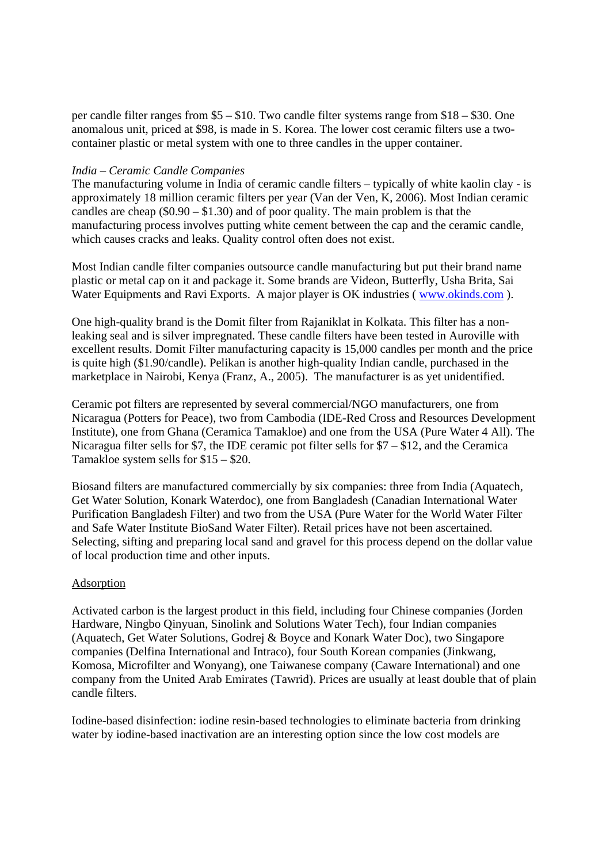per candle filter ranges from \$5 – \$10. Two candle filter systems range from \$18 – \$30. One anomalous unit, priced at \$98, is made in S. Korea. The lower cost ceramic filters use a twocontainer plastic or metal system with one to three candles in the upper container.

#### *India – Ceramic Candle Companies*

The manufacturing volume in India of ceramic candle filters – typically of white kaolin clay - is approximately 18 million ceramic filters per year (Van der Ven, K, 2006). Most Indian ceramic candles are cheap  $(\$0.90 - \$1.30)$  and of poor quality. The main problem is that the manufacturing process involves putting white cement between the cap and the ceramic candle, which causes cracks and leaks. Quality control often does not exist.

Most Indian candle filter companies outsource candle manufacturing but put their brand name plastic or metal cap on it and package it. Some brands are Videon, Butterfly, Usha Brita, Sai Water Equipments and Ravi Exports. A major player is OK industries (www.okinds.com).

One high-quality brand is the Domit filter from Rajaniklat in Kolkata. This filter has a nonleaking seal and is silver impregnated. These candle filters have been tested in Auroville with excellent results. Domit Filter manufacturing capacity is 15,000 candles per month and the price is quite high (\$1.90/candle). Pelikan is another high-quality Indian candle, purchased in the marketplace in Nairobi, Kenya (Franz, A., 2005). The manufacturer is as yet unidentified.

Ceramic pot filters are represented by several commercial/NGO manufacturers, one from Nicaragua (Potters for Peace), two from Cambodia (IDE-Red Cross and Resources Development Institute), one from Ghana (Ceramica Tamakloe) and one from the USA (Pure Water 4 All). The Nicaragua filter sells for \$7, the IDE ceramic pot filter sells for \$7 – \$12, and the Ceramica Tamakloe system sells for \$15 – \$20.

Biosand filters are manufactured commercially by six companies: three from India (Aquatech, Get Water Solution, Konark Waterdoc), one from Bangladesh (Canadian International Water Purification Bangladesh Filter) and two from the USA (Pure Water for the World Water Filter and Safe Water Institute BioSand Water Filter). Retail prices have not been ascertained. Selecting, sifting and preparing local sand and gravel for this process depend on the dollar value of local production time and other inputs.

### Adsorption

Activated carbon is the largest product in this field, including four Chinese companies (Jorden Hardware, Ningbo Qinyuan, Sinolink and Solutions Water Tech), four Indian companies (Aquatech, Get Water Solutions, Godrej & Boyce and Konark Water Doc), two Singapore companies (Delfina International and Intraco), four South Korean companies (Jinkwang, Komosa, Microfilter and Wonyang), one Taiwanese company (Caware International) and one company from the United Arab Emirates (Tawrid). Prices are usually at least double that of plain candle filters.

Iodine-based disinfection: iodine resin-based technologies to eliminate bacteria from drinking water by iodine-based inactivation are an interesting option since the low cost models are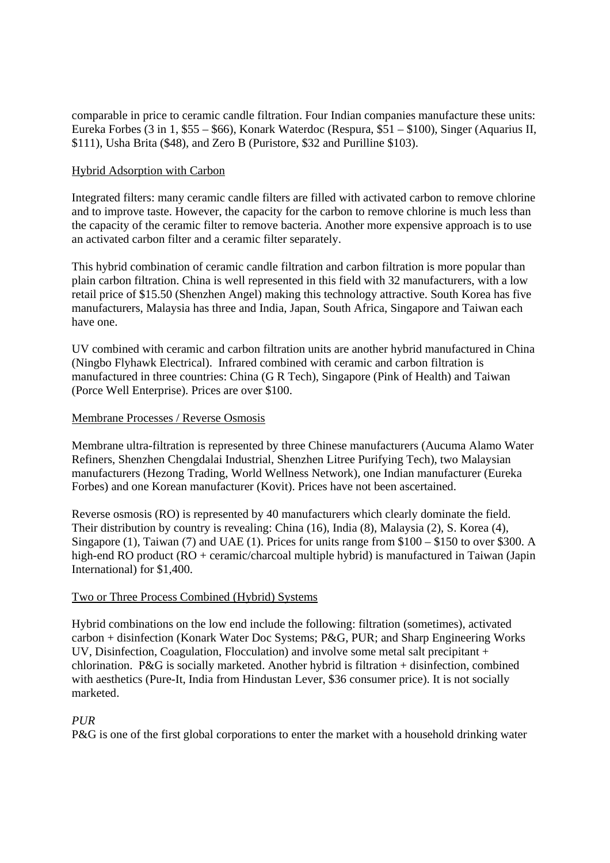comparable in price to ceramic candle filtration. Four Indian companies manufacture these units: Eureka Forbes (3 in 1, \$55 – \$66), Konark Waterdoc (Respura, \$51 – \$100), Singer (Aquarius II, \$111), Usha Brita (\$48), and Zero B (Puristore, \$32 and Purilline \$103).

#### Hybrid Adsorption with Carbon

Integrated filters: many ceramic candle filters are filled with activated carbon to remove chlorine and to improve taste. However, the capacity for the carbon to remove chlorine is much less than the capacity of the ceramic filter to remove bacteria. Another more expensive approach is to use an activated carbon filter and a ceramic filter separately.

This hybrid combination of ceramic candle filtration and carbon filtration is more popular than plain carbon filtration. China is well represented in this field with 32 manufacturers, with a low retail price of \$15.50 (Shenzhen Angel) making this technology attractive. South Korea has five manufacturers, Malaysia has three and India, Japan, South Africa, Singapore and Taiwan each have one.

UV combined with ceramic and carbon filtration units are another hybrid manufactured in China (Ningbo Flyhawk Electrical). Infrared combined with ceramic and carbon filtration is manufactured in three countries: China (G R Tech), Singapore (Pink of Health) and Taiwan (Porce Well Enterprise). Prices are over \$100.

#### Membrane Processes / Reverse Osmosis

Membrane ultra-filtration is represented by three Chinese manufacturers (Aucuma Alamo Water Refiners, Shenzhen Chengdalai Industrial, Shenzhen Litree Purifying Tech), two Malaysian manufacturers (Hezong Trading, World Wellness Network), one Indian manufacturer (Eureka Forbes) and one Korean manufacturer (Kovit). Prices have not been ascertained.

Reverse osmosis (RO) is represented by 40 manufacturers which clearly dominate the field. Their distribution by country is revealing: China (16), India (8), Malaysia (2), S. Korea (4), Singapore (1), Taiwan (7) and UAE (1). Prices for units range from \$100 – \$150 to over \$300. A high-end RO product (RO + ceramic/charcoal multiple hybrid) is manufactured in Taiwan (Japin International) for \$1,400.

### Two or Three Process Combined (Hybrid) Systems

Hybrid combinations on the low end include the following: filtration (sometimes), activated carbon + disinfection (Konark Water Doc Systems; P&G, PUR; and Sharp Engineering Works UV, Disinfection, Coagulation, Flocculation) and involve some metal salt precipitant + chlorination. P&G is socially marketed. Another hybrid is filtration + disinfection, combined with aesthetics (Pure-It, India from Hindustan Lever, \$36 consumer price). It is not socially marketed.

### *PUR*

P&G is one of the first global corporations to enter the market with a household drinking water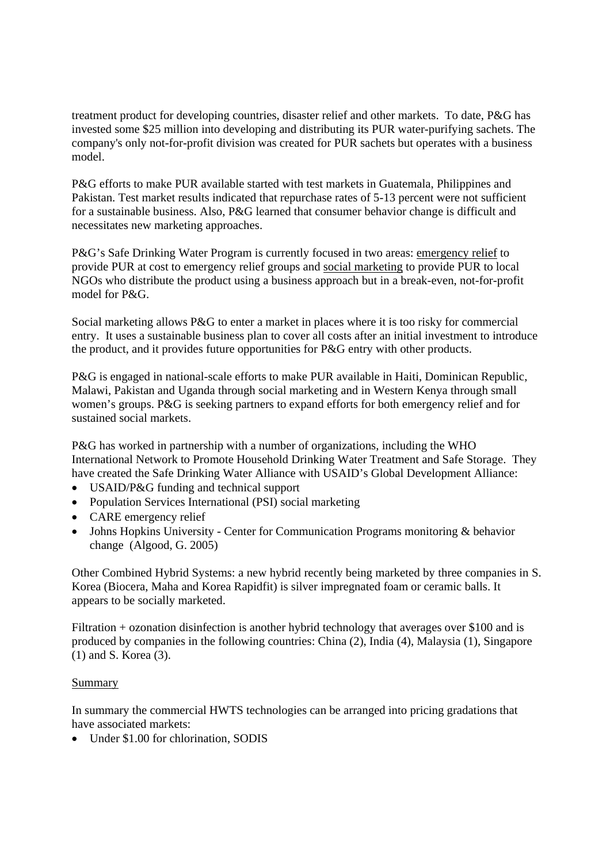treatment product for developing countries, disaster relief and other markets. To date, P&G has invested some \$25 million into developing and distributing its PUR water-purifying sachets. The company's only not-for-profit division was created for PUR sachets but operates with a business model.

P&G efforts to make PUR available started with test markets in Guatemala, Philippines and Pakistan. Test market results indicated that repurchase rates of 5-13 percent were not sufficient for a sustainable business. Also, P&G learned that consumer behavior change is difficult and necessitates new marketing approaches.

P&G's Safe Drinking Water Program is currently focused in two areas: emergency relief to provide PUR at cost to emergency relief groups and social marketing to provide PUR to local NGOs who distribute the product using a business approach but in a break-even, not-for-profit model for P&G.

Social marketing allows P&G to enter a market in places where it is too risky for commercial entry. It uses a sustainable business plan to cover all costs after an initial investment to introduce the product, and it provides future opportunities for P&G entry with other products.

P&G is engaged in national-scale efforts to make PUR available in Haiti, Dominican Republic, Malawi, Pakistan and Uganda through social marketing and in Western Kenya through small women's groups. P&G is seeking partners to expand efforts for both emergency relief and for sustained social markets.

P&G has worked in partnership with a number of organizations, including the WHO International Network to Promote Household Drinking Water Treatment and Safe Storage. They have created the Safe Drinking Water Alliance with USAID's Global Development Alliance:

- USAID/P&G funding and technical support
- Population Services International (PSI) social marketing
- CARE emergency relief
- Johns Hopkins University Center for Communication Programs monitoring & behavior change (Algood, G. 2005)

Other Combined Hybrid Systems: a new hybrid recently being marketed by three companies in S. Korea (Biocera, Maha and Korea Rapidfit) is silver impregnated foam or ceramic balls. It appears to be socially marketed.

Filtration + ozonation disinfection is another hybrid technology that averages over \$100 and is produced by companies in the following countries: China (2), India (4), Malaysia (1), Singapore (1) and S. Korea (3).

### Summary

In summary the commercial HWTS technologies can be arranged into pricing gradations that have associated markets:

• Under \$1.00 for chlorination, SODIS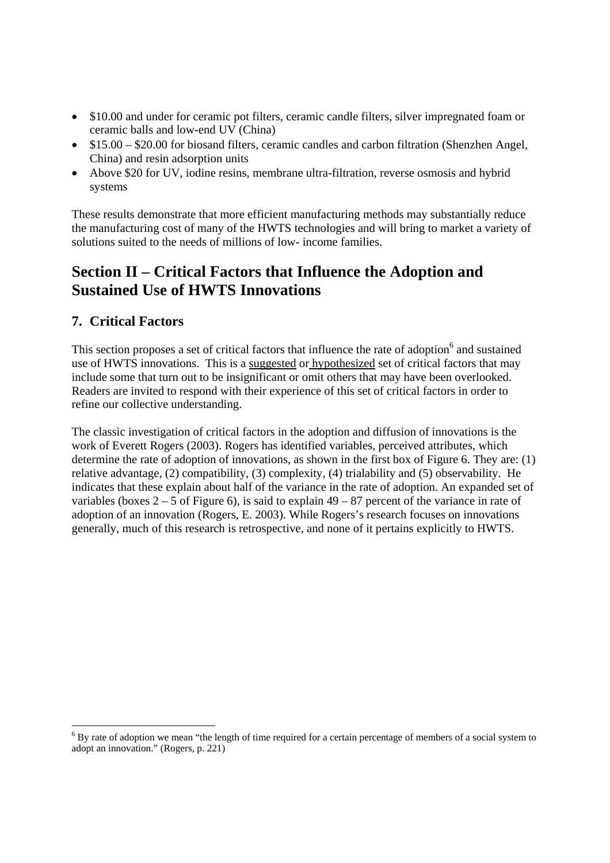- \$10.00 and under for ceramic pot filters, ceramic candle filters, silver impregnated foam or ceramic balls and low-end UV (China)
- \$15.00 \$20.00 for biosand filters, ceramic candles and carbon filtration (Shenzhen Angel, China) and resin adsorption units
- Above \$20 for UV, iodine resins, membrane ultra-filtration, reverse osmosis and hybrid systems

These results demonstrate that more efficient manufacturing methods may substantially reduce the manufacturing cost of many of the HWTS technologies and will bring to market a variety of solutions suited to the needs of millions of low- income families.

# **Section II – Critical Factors that Influence the Adoption and Sustained Use of HWTS Innovations**

# **7. Critical Factors**

-

This section proposes a set of critical factors that influence the rate of adoption<sup>6</sup> and sustained use of HWTS innovations. This is a suggested or hypothesized set of critical factors that may include some that turn out to be insignificant or omit others that may have been overlooked. Readers are invited to respond with their experience of this set of critical factors in order to refine our collective understanding.

The classic investigation of critical factors in the adoption and diffusion of innovations is the work of Everett Rogers (2003). Rogers has identified variables, perceived attributes, which determine the rate of adoption of innovations, as shown in the first box of Figure 6. They are: (1) relative advantage, (2) compatibility, (3) complexity, (4) trialability and (5) observability. He indicates that these explain about half of the variance in the rate of adoption. An expanded set of variables (boxes  $2 - 5$  of Figure 6), is said to explain  $49 - 87$  percent of the variance in rate of adoption of an innovation (Rogers, E. 2003). While Rogers's research focuses on innovations generally, much of this research is retrospective, and none of it pertains explicitly to HWTS.

 $6$  By rate of adoption we mean "the length of time required for a certain percentage of members of a social system to adopt an innovation." (Rogers, p. 221)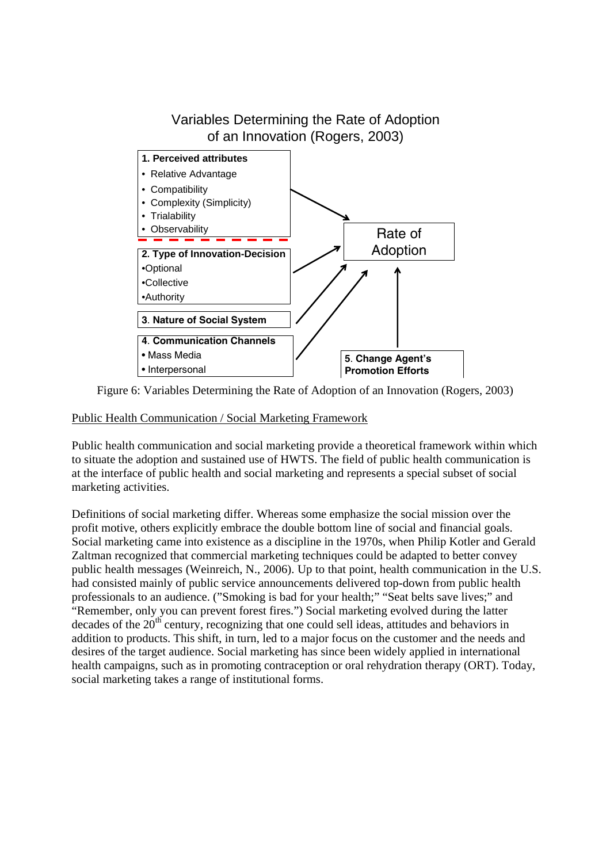

Figure 6: Variables Determining the Rate of Adoption of an Innovation (Rogers, 2003)

Public Health Communication / Social Marketing Framework

Public health communication and social marketing provide a theoretical framework within which to situate the adoption and sustained use of HWTS. The field of public health communication is at the interface of public health and social marketing and represents a special subset of social marketing activities.

Definitions of social marketing differ. Whereas some emphasize the social mission over the profit motive, others explicitly embrace the double bottom line of social and financial goals. Social marketing came into existence as a discipline in the 1970s, when Philip Kotler and Gerald Zaltman recognized that commercial marketing techniques could be adapted to better convey public health messages (Weinreich, N., 2006). Up to that point, health communication in the U.S. had consisted mainly of public service announcements delivered top-down from public health professionals to an audience. ("Smoking is bad for your health;" "Seat belts save lives;" and "Remember, only you can prevent forest fires.") Social marketing evolved during the latter decades of the  $20<sup>th</sup>$  century, recognizing that one could sell ideas, attitudes and behaviors in addition to products. This shift, in turn, led to a major focus on the customer and the needs and desires of the target audience. Social marketing has since been widely applied in international health campaigns, such as in promoting contraception or oral rehydration therapy (ORT). Today, social marketing takes a range of institutional forms.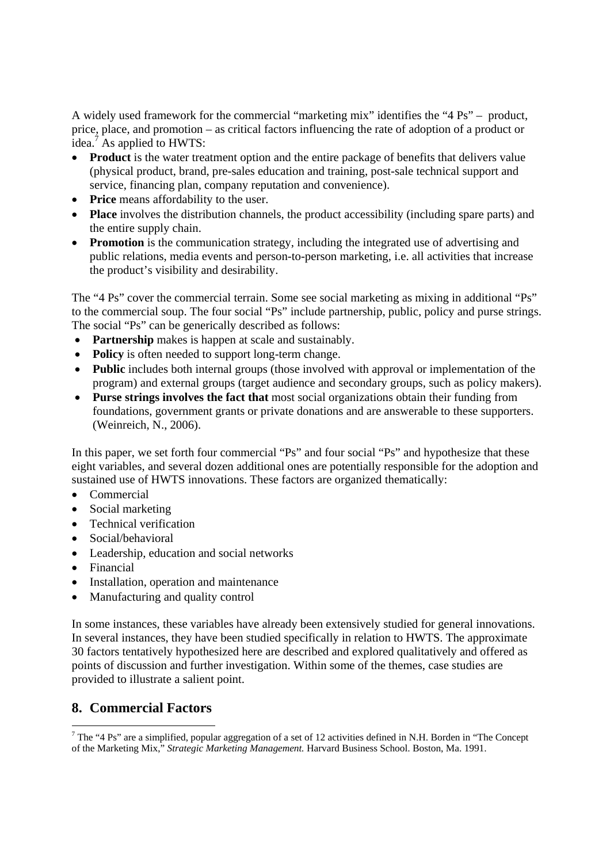A widely used framework for the commercial "marketing mix" identifies the "4 Ps" – product, price, place, and promotion – as critical factors influencing the rate of adoption of a product or idea.<sup>7</sup> As applied to HWTS:

- **Product** is the water treatment option and the entire package of benefits that delivers value (physical product, brand, pre-sales education and training, post-sale technical support and service, financing plan, company reputation and convenience).
- **Price** means affordability to the user.
- **Place** involves the distribution channels, the product accessibility (including spare parts) and the entire supply chain.
- **Promotion** is the communication strategy, including the integrated use of advertising and public relations, media events and person-to-person marketing, i.e. all activities that increase the product's visibility and desirability.

The "4 Ps" cover the commercial terrain. Some see social marketing as mixing in additional "Ps" to the commercial soup. The four social "Ps" include partnership, public, policy and purse strings. The social "Ps" can be generically described as follows:

- **Partnership** makes is happen at scale and sustainably.
- **Policy** is often needed to support long-term change.
- **Public** includes both internal groups (those involved with approval or implementation of the program) and external groups (target audience and secondary groups, such as policy makers).
- **Purse strings involves the fact that** most social organizations obtain their funding from foundations, government grants or private donations and are answerable to these supporters. (Weinreich, N., 2006).

In this paper, we set forth four commercial "Ps" and four social "Ps" and hypothesize that these eight variables, and several dozen additional ones are potentially responsible for the adoption and sustained use of HWTS innovations. These factors are organized thematically:

- Commercial
- Social marketing
- Technical verification
- Social/behavioral
- Leadership, education and social networks
- Financial

-

- Installation, operation and maintenance
- Manufacturing and quality control

In some instances, these variables have already been extensively studied for general innovations. In several instances, they have been studied specifically in relation to HWTS. The approximate 30 factors tentatively hypothesized here are described and explored qualitatively and offered as points of discussion and further investigation. Within some of the themes, case studies are provided to illustrate a salient point.

# **8. Commercial Factors**

<sup>&</sup>lt;sup>7</sup> The "4 Ps" are a simplified, popular aggregation of a set of 12 activities defined in N.H. Borden in "The Concept" of the Marketing Mix," *Strategic Marketing Management.* Harvard Business School. Boston, Ma. 1991.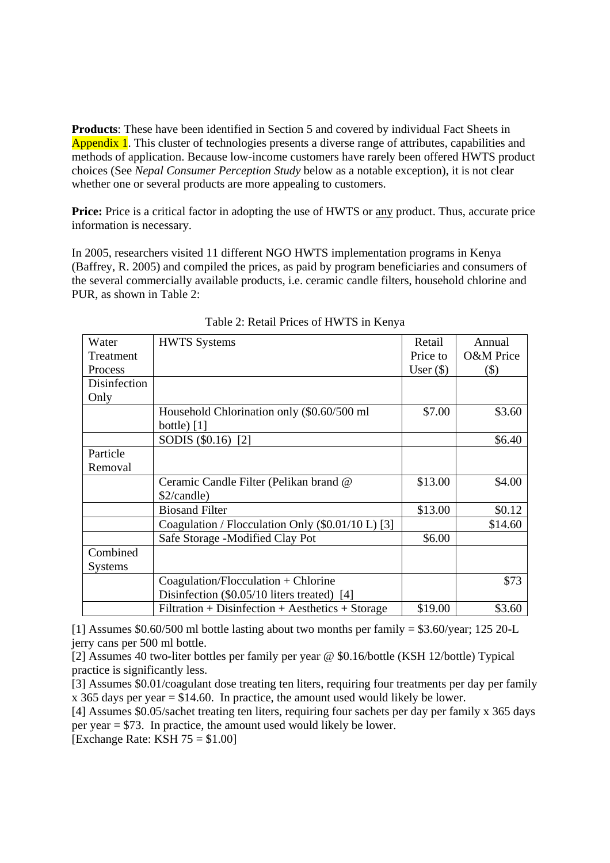**Products**: These have been identified in Section 5 and covered by individual Fact Sheets in Appendix 1. This cluster of technologies presents a diverse range of attributes, capabilities and methods of application. Because low-income customers have rarely been offered HWTS product choices (See *Nepal Consumer Perception Study* below as a notable exception), it is not clear whether one or several products are more appealing to customers.

**Price:** Price is a critical factor in adopting the use of HWTS or <u>any</u> product. Thus, accurate price information is necessary.

In 2005, researchers visited 11 different NGO HWTS implementation programs in Kenya (Baffrey, R. 2005) and compiled the prices, as paid by program beneficiaries and consumers of the several commercially available products, i.e. ceramic candle filters, household chlorine and PUR, as shown in Table 2:

| Water          | <b>HWTS</b> Systems                                | Retail      | Annual               |
|----------------|----------------------------------------------------|-------------|----------------------|
| Treatment      |                                                    | Price to    | <b>O&amp;M</b> Price |
|                |                                                    |             |                      |
| Process        |                                                    | User $(\$)$ | \$)                  |
| Disinfection   |                                                    |             |                      |
| Only           |                                                    |             |                      |
|                | Household Chlorination only (\$0.60/500 ml         | \$7.00      | \$3.60               |
|                | bottle) $[1]$                                      |             |                      |
|                | SODIS (\$0.16) [2]                                 |             | \$6.40               |
| Particle       |                                                    |             |                      |
| Removal        |                                                    |             |                      |
|                | Ceramic Candle Filter (Pelikan brand @             | \$13.00     | \$4.00               |
|                | \$2/candle)                                        |             |                      |
|                | <b>Biosand Filter</b>                              | \$13.00     | \$0.12               |
|                | Coagulation / Flocculation Only (\$0.01/10 L) [3]  |             | \$14.60              |
|                | Safe Storage -Modified Clay Pot                    | \$6.00      |                      |
| Combined       |                                                    |             |                      |
| <b>Systems</b> |                                                    |             |                      |
|                | $Coagulation/Flocculation + Chlorine$              |             | \$73                 |
|                | Disinfection (\$0.05/10 liters treated) [4]        |             |                      |
|                | $Filtration + Disinfection + Aesthetics + Storage$ | \$19.00     | \$3.60               |

Table 2: Retail Prices of HWTS in Kenya

[1] Assumes \$0.60/500 ml bottle lasting about two months per family = \$3.60/year; 125 20-L jerry cans per 500 ml bottle.

[2] Assumes 40 two-liter bottles per family per year @ \$0.16/bottle (KSH 12/bottle) Typical practice is significantly less.

[3] Assumes \$0.01/coagulant dose treating ten liters, requiring four treatments per day per family x 365 days per year  $=$  \$14.60. In practice, the amount used would likely be lower.

[4] Assumes \$0.05/sachet treating ten liters, requiring four sachets per day per family x 365 days per year = \$73. In practice, the amount used would likely be lower.

 $[Exchange Rate: KSH 75 = $1.00]$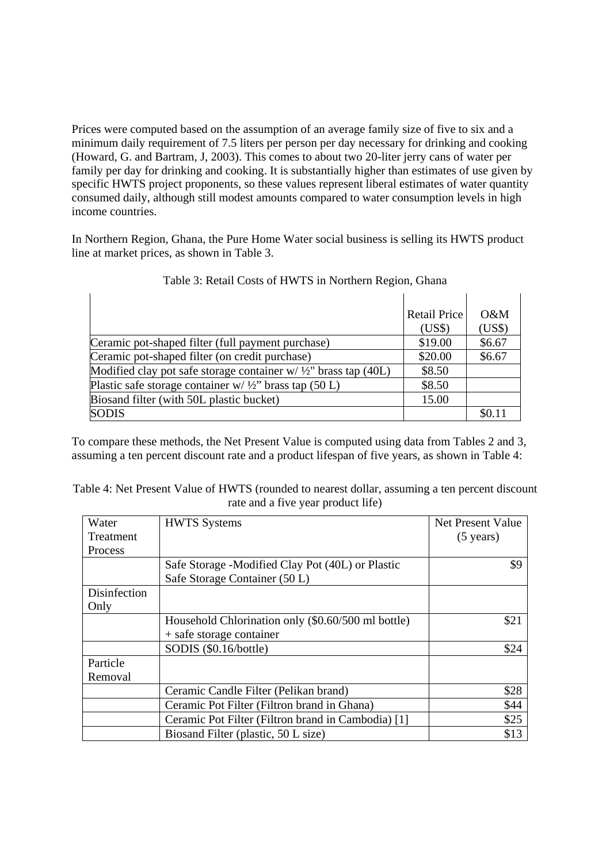Prices were computed based on the assumption of an average family size of five to six and a minimum daily requirement of 7.5 liters per person per day necessary for drinking and cooking (Howard, G. and Bartram, J, 2003). This comes to about two 20-liter jerry cans of water per family per day for drinking and cooking. It is substantially higher than estimates of use given by specific HWTS project proponents, so these values represent liberal estimates of water quantity consumed daily, although still modest amounts compared to water consumption levels in high income countries.

In Northern Region, Ghana, the Pure Home Water social business is selling its HWTS product line at market prices, as shown in Table 3.

|                                                                            | <b>Retail Price</b> | $O\&M$ |
|----------------------------------------------------------------------------|---------------------|--------|
|                                                                            | (US\$)              | (US\$) |
| Ceramic pot-shaped filter (full payment purchase)                          | \$19.00             | \$6.67 |
| Ceramic pot-shaped filter (on credit purchase)                             | \$20.00             | \$6.67 |
| Modified clay pot safe storage container $w / \frac{1}{2}$ brass tap (40L) | \$8.50              |        |
| Plastic safe storage container $w / \frac{1}{2}$ brass tap (50 L)          | \$8.50              |        |
| Biosand filter (with 50L plastic bucket)                                   | 15.00               |        |
| <b>SODIS</b>                                                               |                     | \$0.11 |

| Table 3: Retail Costs of HWTS in Northern Region, Ghana |  |
|---------------------------------------------------------|--|
|---------------------------------------------------------|--|

To compare these methods, the Net Present Value is computed using data from Tables 2 and 3, assuming a ten percent discount rate and a product lifespan of five years, as shown in Table 4:

| Water        | <b>HWTS</b> Systems                                | Net Present Value   |
|--------------|----------------------------------------------------|---------------------|
| Treatment    |                                                    | $(5 \text{ years})$ |
| Process      |                                                    |                     |
|              | Safe Storage -Modified Clay Pot (40L) or Plastic   | \$9                 |
|              | Safe Storage Container (50 L)                      |                     |
| Disinfection |                                                    |                     |
| Only         |                                                    |                     |
|              | Household Chlorination only (\$0.60/500 ml bottle) | \$21                |
|              | + safe storage container                           |                     |
|              | SODIS (\$0.16/bottle)                              | \$24                |
| Particle     |                                                    |                     |
| Removal      |                                                    |                     |
|              | Ceramic Candle Filter (Pelikan brand)              | \$28                |
|              | Ceramic Pot Filter (Filtron brand in Ghana)        | \$44                |
|              | Ceramic Pot Filter (Filtron brand in Cambodia) [1] | \$25                |
|              | Biosand Filter (plastic, 50 L size)                | \$13                |

Table 4: Net Present Value of HWTS (rounded to nearest dollar, assuming a ten percent discount rate and a five year product life)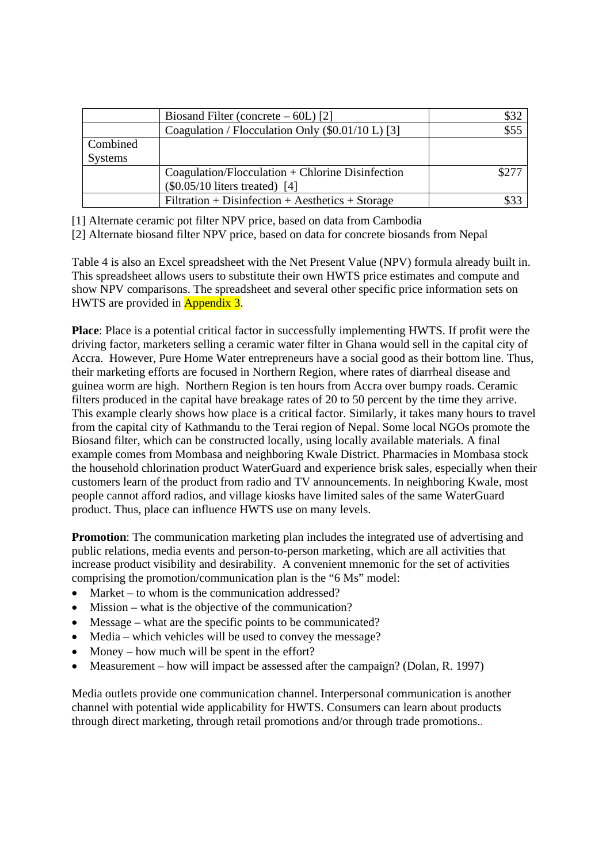|                | Biosand Filter (concrete $-60L$ ) [2]              |       |
|----------------|----------------------------------------------------|-------|
|                | Coagulation / Flocculation Only (\$0.01/10 L) [3]  | \$55  |
| Combined       |                                                    |       |
| <b>Systems</b> |                                                    |       |
|                | $Coagulation/Floculation + Chlorine Disinfection$  | \$277 |
|                | $(\$0.05/10$ liters treated) [4]                   |       |
|                | $Filtration + Disinfection + Aesthetics + Storage$ |       |

[1] Alternate ceramic pot filter NPV price, based on data from Cambodia

[2] Alternate biosand filter NPV price, based on data for concrete biosands from Nepal

Table 4 is also an Excel spreadsheet with the Net Present Value (NPV) formula already built in. This spreadsheet allows users to substitute their own HWTS price estimates and compute and show NPV comparisons. The spreadsheet and several other specific price information sets on HWTS are provided in Appendix 3.

**Place**: Place is a potential critical factor in successfully implementing HWTS. If profit were the driving factor, marketers selling a ceramic water filter in Ghana would sell in the capital city of Accra. However, Pure Home Water entrepreneurs have a social good as their bottom line. Thus, their marketing efforts are focused in Northern Region, where rates of diarrheal disease and guinea worm are high. Northern Region is ten hours from Accra over bumpy roads. Ceramic filters produced in the capital have breakage rates of 20 to 50 percent by the time they arrive. This example clearly shows how place is a critical factor. Similarly, it takes many hours to travel from the capital city of Kathmandu to the Terai region of Nepal. Some local NGOs promote the Biosand filter, which can be constructed locally, using locally available materials. A final example comes from Mombasa and neighboring Kwale District. Pharmacies in Mombasa stock the household chlorination product WaterGuard and experience brisk sales, especially when their customers learn of the product from radio and TV announcements. In neighboring Kwale, most people cannot afford radios, and village kiosks have limited sales of the same WaterGuard product. Thus, place can influence HWTS use on many levels.

**Promotion**: The communication marketing plan includes the integrated use of advertising and public relations, media events and person-to-person marketing, which are all activities that increase product visibility and desirability. A convenient mnemonic for the set of activities comprising the promotion/communication plan is the "6 Ms" model:

- Market to whom is the communication addressed?
- Mission what is the objective of the communication?
- Message what are the specific points to be communicated?
- Media which vehicles will be used to convey the message?
- Money how much will be spent in the effort?
- Measurement how will impact be assessed after the campaign? (Dolan, R. 1997)

Media outlets provide one communication channel. Interpersonal communication is another channel with potential wide applicability for HWTS. Consumers can learn about products through direct marketing, through retail promotions and/or through trade promotions..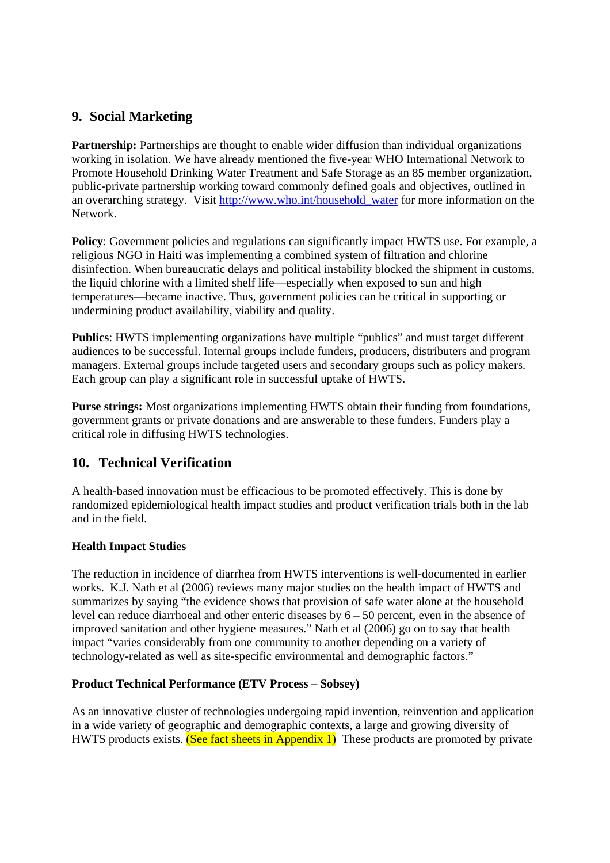# **9. Social Marketing**

**Partnership:** Partnerships are thought to enable wider diffusion than individual organizations working in isolation. We have already mentioned the five-year WHO International Network to Promote Household Drinking Water Treatment and Safe Storage as an 85 member organization, public-private partnership working toward commonly defined goals and objectives, outlined in an overarching strategy. Visit http://www.who.int/household\_water for more information on the Network.

**Policy**: Government policies and regulations can significantly impact HWTS use. For example, a religious NGO in Haiti was implementing a combined system of filtration and chlorine disinfection. When bureaucratic delays and political instability blocked the shipment in customs, the liquid chlorine with a limited shelf life—especially when exposed to sun and high temperatures—became inactive. Thus, government policies can be critical in supporting or undermining product availability, viability and quality.

**Publics**: HWTS implementing organizations have multiple "publics" and must target different audiences to be successful. Internal groups include funders, producers, distributers and program managers. External groups include targeted users and secondary groups such as policy makers. Each group can play a significant role in successful uptake of HWTS.

**Purse strings:** Most organizations implementing HWTS obtain their funding from foundations, government grants or private donations and are answerable to these funders. Funders play a critical role in diffusing HWTS technologies.

# **10. Technical Verification**

A health-based innovation must be efficacious to be promoted effectively. This is done by randomized epidemiological health impact studies and product verification trials both in the lab and in the field.

## **Health Impact Studies**

The reduction in incidence of diarrhea from HWTS interventions is well-documented in earlier works. K.J. Nath et al (2006) reviews many major studies on the health impact of HWTS and summarizes by saying "the evidence shows that provision of safe water alone at the household level can reduce diarrhoeal and other enteric diseases by 6 – 50 percent, even in the absence of improved sanitation and other hygiene measures." Nath et al (2006) go on to say that health impact "varies considerably from one community to another depending on a variety of technology-related as well as site-specific environmental and demographic factors."

## **Product Technical Performance (ETV Process – Sobsey)**

As an innovative cluster of technologies undergoing rapid invention, reinvention and application in a wide variety of geographic and demographic contexts, a large and growing diversity of HWTS products exists. (See fact sheets in Appendix 1) These products are promoted by private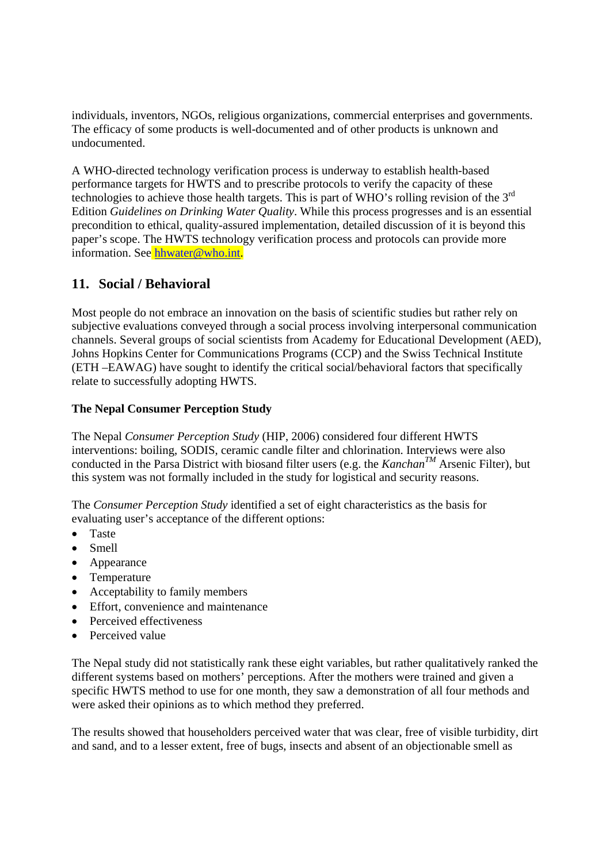individuals, inventors, NGOs, religious organizations, commercial enterprises and governments. The efficacy of some products is well-documented and of other products is unknown and undocumented.

A WHO-directed technology verification process is underway to establish health-based performance targets for HWTS and to prescribe protocols to verify the capacity of these technologies to achieve those health targets. This is part of WHO's rolling revision of the 3rd Edition *Guidelines on Drinking Water Quality*. While this process progresses and is an essential precondition to ethical, quality-assured implementation, detailed discussion of it is beyond this paper's scope. The HWTS technology verification process and protocols can provide more information. See hhwater@who.int.

# **11. Social / Behavioral**

Most people do not embrace an innovation on the basis of scientific studies but rather rely on subjective evaluations conveyed through a social process involving interpersonal communication channels. Several groups of social scientists from Academy for Educational Development (AED), Johns Hopkins Center for Communications Programs (CCP) and the Swiss Technical Institute (ETH –EAWAG) have sought to identify the critical social/behavioral factors that specifically relate to successfully adopting HWTS.

## **The Nepal Consumer Perception Study**

The Nepal *Consumer Perception Study* (HIP, 2006) considered four different HWTS interventions: boiling, SODIS, ceramic candle filter and chlorination. Interviews were also conducted in the Parsa District with biosand filter users (e.g. the *KanchanTM* Arsenic Filter), but this system was not formally included in the study for logistical and security reasons.

The *Consumer Perception Study* identified a set of eight characteristics as the basis for evaluating user's acceptance of the different options:

- Taste
- Smell
- Appearance
- Temperature
- Acceptability to family members
- Effort, convenience and maintenance
- Perceived effectiveness
- Perceived value

The Nepal study did not statistically rank these eight variables, but rather qualitatively ranked the different systems based on mothers' perceptions. After the mothers were trained and given a specific HWTS method to use for one month, they saw a demonstration of all four methods and were asked their opinions as to which method they preferred.

The results showed that householders perceived water that was clear, free of visible turbidity, dirt and sand, and to a lesser extent, free of bugs, insects and absent of an objectionable smell as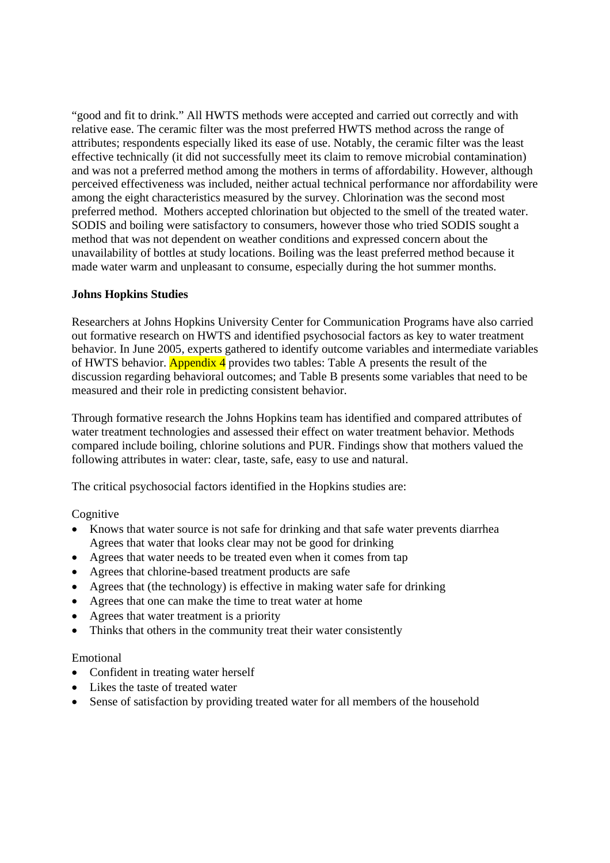"good and fit to drink." All HWTS methods were accepted and carried out correctly and with relative ease. The ceramic filter was the most preferred HWTS method across the range of attributes; respondents especially liked its ease of use. Notably, the ceramic filter was the least effective technically (it did not successfully meet its claim to remove microbial contamination) and was not a preferred method among the mothers in terms of affordability. However, although perceived effectiveness was included, neither actual technical performance nor affordability were among the eight characteristics measured by the survey. Chlorination was the second most preferred method. Mothers accepted chlorination but objected to the smell of the treated water. SODIS and boiling were satisfactory to consumers, however those who tried SODIS sought a method that was not dependent on weather conditions and expressed concern about the unavailability of bottles at study locations. Boiling was the least preferred method because it made water warm and unpleasant to consume, especially during the hot summer months.

## **Johns Hopkins Studies**

Researchers at Johns Hopkins University Center for Communication Programs have also carried out formative research on HWTS and identified psychosocial factors as key to water treatment behavior. In June 2005, experts gathered to identify outcome variables and intermediate variables of HWTS behavior. Appendix 4 provides two tables: Table A presents the result of the discussion regarding behavioral outcomes; and Table B presents some variables that need to be measured and their role in predicting consistent behavior.

Through formative research the Johns Hopkins team has identified and compared attributes of water treatment technologies and assessed their effect on water treatment behavior. Methods compared include boiling, chlorine solutions and PUR. Findings show that mothers valued the following attributes in water: clear, taste, safe, easy to use and natural.

The critical psychosocial factors identified in the Hopkins studies are:

Cognitive

- Knows that water source is not safe for drinking and that safe water prevents diarrhea Agrees that water that looks clear may not be good for drinking
- Agrees that water needs to be treated even when it comes from tap
- Agrees that chlorine-based treatment products are safe
- Agrees that (the technology) is effective in making water safe for drinking
- Agrees that one can make the time to treat water at home
- Agrees that water treatment is a priority
- Thinks that others in the community treat their water consistently

### Emotional

- Confident in treating water herself
- Likes the taste of treated water
- Sense of satisfaction by providing treated water for all members of the household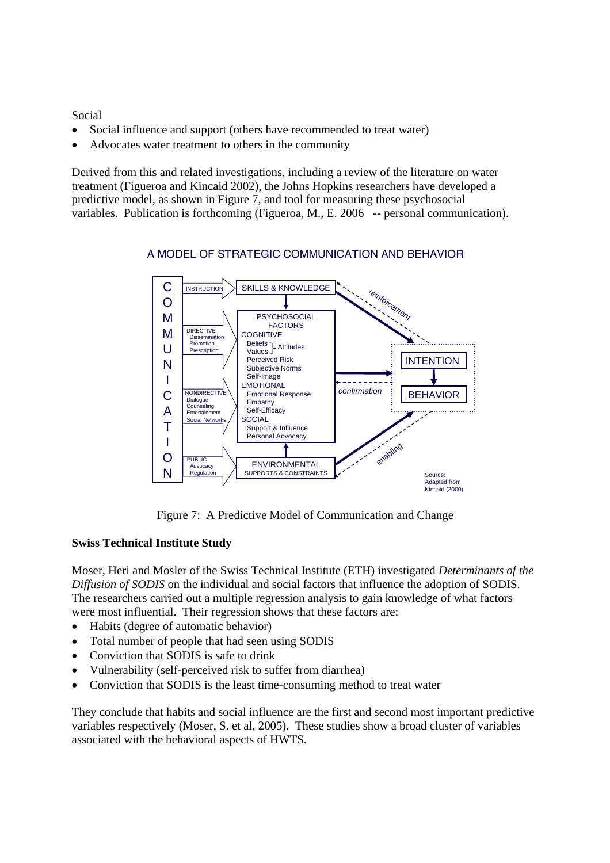Social

- Social influence and support (others have recommended to treat water)
- Advocates water treatment to others in the community

Derived from this and related investigations, including a review of the literature on water treatment (Figueroa and Kincaid 2002), the Johns Hopkins researchers have developed a predictive model, as shown in Figure 7, and tool for measuring these psychosocial variables. Publication is forthcoming (Figueroa, M., E. 2006 -- personal communication).



## A MODEL OF STRATEGIC COMMUNICATION AND BEHAVIOR

Figure 7: A Predictive Model of Communication and Change

## **Swiss Technical Institute Study**

Moser, Heri and Mosler of the Swiss Technical Institute (ETH) investigated *Determinants of the Diffusion of SODIS* on the individual and social factors that influence the adoption of SODIS. The researchers carried out a multiple regression analysis to gain knowledge of what factors were most influential. Their regression shows that these factors are:

- Habits (degree of automatic behavior)
- Total number of people that had seen using SODIS
- Conviction that SODIS is safe to drink
- Vulnerability (self-perceived risk to suffer from diarrhea)
- Conviction that SODIS is the least time-consuming method to treat water

They conclude that habits and social influence are the first and second most important predictive variables respectively (Moser, S. et al, 2005). These studies show a broad cluster of variables associated with the behavioral aspects of HWTS.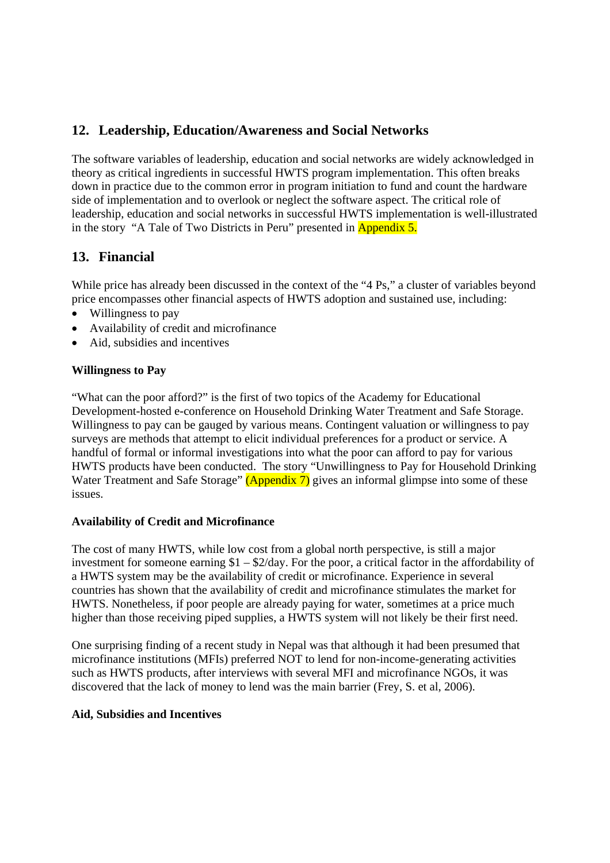# **12. Leadership, Education/Awareness and Social Networks**

The software variables of leadership, education and social networks are widely acknowledged in theory as critical ingredients in successful HWTS program implementation. This often breaks down in practice due to the common error in program initiation to fund and count the hardware side of implementation and to overlook or neglect the software aspect. The critical role of leadership, education and social networks in successful HWTS implementation is well-illustrated in the story "A Tale of Two Districts in Peru" presented in Appendix 5.

# **13. Financial**

While price has already been discussed in the context of the "4 Ps," a cluster of variables beyond price encompasses other financial aspects of HWTS adoption and sustained use, including:

- Willingness to pay
- Availability of credit and microfinance
- Aid, subsidies and incentives

## **Willingness to Pay**

"What can the poor afford?" is the first of two topics of the Academy for Educational Development-hosted e-conference on Household Drinking Water Treatment and Safe Storage. Willingness to pay can be gauged by various means. Contingent valuation or willingness to pay surveys are methods that attempt to elicit individual preferences for a product or service. A handful of formal or informal investigations into what the poor can afford to pay for various HWTS products have been conducted. The story "Unwillingness to Pay for Household Drinking Water Treatment and Safe Storage" (Appendix 7) gives an informal glimpse into some of these issues.

### **Availability of Credit and Microfinance**

The cost of many HWTS, while low cost from a global north perspective, is still a major investment for someone earning \$1 – \$2/day. For the poor, a critical factor in the affordability of a HWTS system may be the availability of credit or microfinance. Experience in several countries has shown that the availability of credit and microfinance stimulates the market for HWTS. Nonetheless, if poor people are already paying for water, sometimes at a price much higher than those receiving piped supplies, a HWTS system will not likely be their first need.

One surprising finding of a recent study in Nepal was that although it had been presumed that microfinance institutions (MFIs) preferred NOT to lend for non-income-generating activities such as HWTS products, after interviews with several MFI and microfinance NGOs, it was discovered that the lack of money to lend was the main barrier (Frey, S. et al, 2006).

### **Aid, Subsidies and Incentives**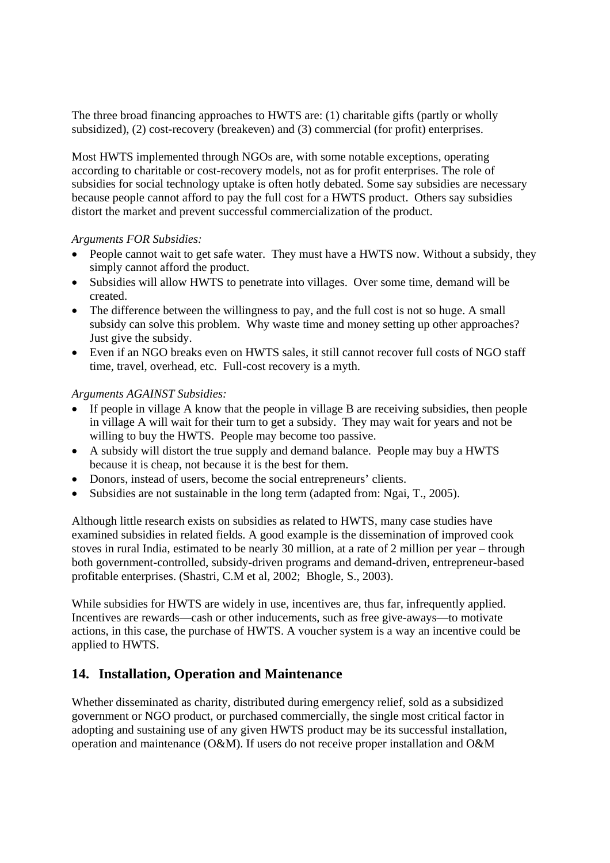The three broad financing approaches to HWTS are: (1) charitable gifts (partly or wholly subsidized), (2) cost-recovery (breakeven) and (3) commercial (for profit) enterprises.

Most HWTS implemented through NGOs are, with some notable exceptions, operating according to charitable or cost-recovery models, not as for profit enterprises. The role of subsidies for social technology uptake is often hotly debated. Some say subsidies are necessary because people cannot afford to pay the full cost for a HWTS product. Others say subsidies distort the market and prevent successful commercialization of the product.

### *Arguments FOR Subsidies:*

- People cannot wait to get safe water. They must have a HWTS now. Without a subsidy, they simply cannot afford the product.
- Subsidies will allow HWTS to penetrate into villages. Over some time, demand will be created.
- The difference between the willingness to pay, and the full cost is not so huge. A small subsidy can solve this problem. Why waste time and money setting up other approaches? Just give the subsidy.
- Even if an NGO breaks even on HWTS sales, it still cannot recover full costs of NGO staff time, travel, overhead, etc. Full-cost recovery is a myth.

*Arguments AGAINST Subsidies:* 

- If people in village A know that the people in village B are receiving subsidies, then people in village A will wait for their turn to get a subsidy. They may wait for years and not be willing to buy the HWTS. People may become too passive.
- A subsidy will distort the true supply and demand balance. People may buy a HWTS because it is cheap, not because it is the best for them.
- Donors, instead of users, become the social entrepreneurs' clients.
- Subsidies are not sustainable in the long term (adapted from: Ngai, T., 2005).

Although little research exists on subsidies as related to HWTS, many case studies have examined subsidies in related fields. A good example is the dissemination of improved cook stoves in rural India, estimated to be nearly 30 million, at a rate of 2 million per year – through both government-controlled, subsidy-driven programs and demand-driven, entrepreneur-based profitable enterprises. (Shastri, C.M et al, 2002; Bhogle, S., 2003).

While subsidies for HWTS are widely in use, incentives are, thus far, infrequently applied. Incentives are rewards—cash or other inducements, such as free give-aways—to motivate actions, in this case, the purchase of HWTS. A voucher system is a way an incentive could be applied to HWTS.

# **14. Installation, Operation and Maintenance**

Whether disseminated as charity, distributed during emergency relief, sold as a subsidized government or NGO product, or purchased commercially, the single most critical factor in adopting and sustaining use of any given HWTS product may be its successful installation, operation and maintenance (O&M). If users do not receive proper installation and O&M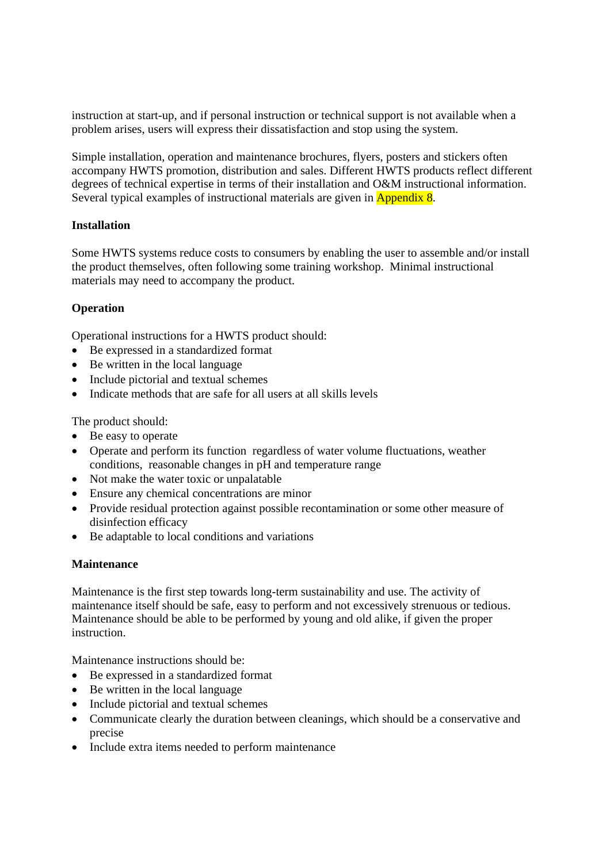instruction at start-up, and if personal instruction or technical support is not available when a problem arises, users will express their dissatisfaction and stop using the system.

Simple installation, operation and maintenance brochures, flyers, posters and stickers often accompany HWTS promotion, distribution and sales. Different HWTS products reflect different degrees of technical expertise in terms of their installation and O&M instructional information. Several typical examples of instructional materials are given in **Appendix 8**.

### **Installation**

Some HWTS systems reduce costs to consumers by enabling the user to assemble and/or install the product themselves, often following some training workshop. Minimal instructional materials may need to accompany the product.

## **Operation**

Operational instructions for a HWTS product should:

- Be expressed in a standardized format
- Be written in the local language
- Include pictorial and textual schemes
- Indicate methods that are safe for all users at all skills levels

The product should:

- Be easy to operate
- Operate and perform its function regardless of water volume fluctuations, weather conditions, reasonable changes in pH and temperature range
- Not make the water toxic or unpalatable
- Ensure any chemical concentrations are minor
- Provide residual protection against possible recontamination or some other measure of disinfection efficacy
- Be adaptable to local conditions and variations

### **Maintenance**

Maintenance is the first step towards long-term sustainability and use. The activity of maintenance itself should be safe, easy to perform and not excessively strenuous or tedious. Maintenance should be able to be performed by young and old alike, if given the proper instruction.

Maintenance instructions should be:

- Be expressed in a standardized format
- Be written in the local language
- Include pictorial and textual schemes
- Communicate clearly the duration between cleanings, which should be a conservative and precise
- Include extra items needed to perform maintenance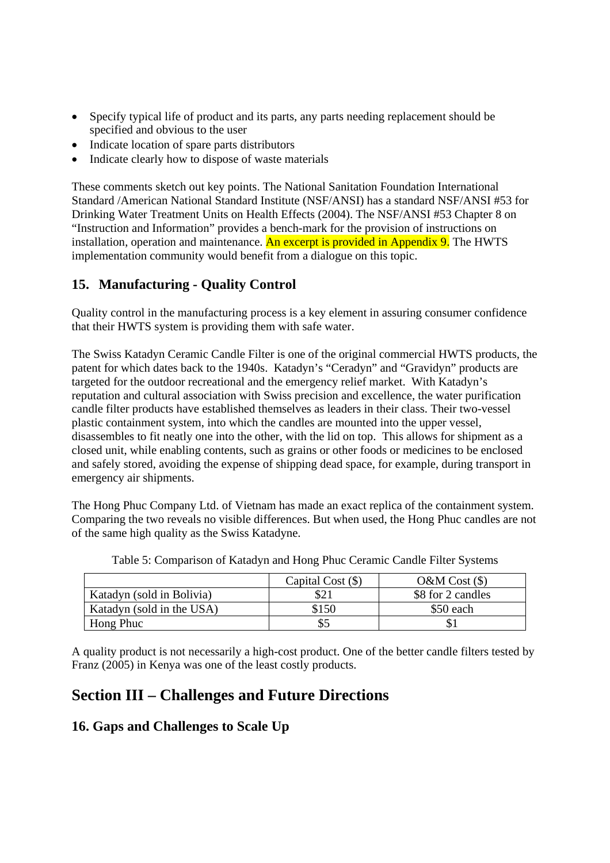- Specify typical life of product and its parts, any parts needing replacement should be specified and obvious to the user
- Indicate location of spare parts distributors
- Indicate clearly how to dispose of waste materials

These comments sketch out key points. The National Sanitation Foundation International Standard /American National Standard Institute (NSF/ANSI) has a standard NSF/ANSI #53 for Drinking Water Treatment Units on Health Effects (2004). The NSF/ANSI #53 Chapter 8 on "Instruction and Information" provides a bench-mark for the provision of instructions on installation, operation and maintenance. An excerpt is provided in Appendix 9. The HWTS implementation community would benefit from a dialogue on this topic.

# **15. Manufacturing - Quality Control**

Quality control in the manufacturing process is a key element in assuring consumer confidence that their HWTS system is providing them with safe water.

The Swiss Katadyn Ceramic Candle Filter is one of the original commercial HWTS products, the patent for which dates back to the 1940s. Katadyn's "Ceradyn" and "Gravidyn" products are targeted for the outdoor recreational and the emergency relief market. With Katadyn's reputation and cultural association with Swiss precision and excellence, the water purification candle filter products have established themselves as leaders in their class. Their two-vessel plastic containment system, into which the candles are mounted into the upper vessel, disassembles to fit neatly one into the other, with the lid on top. This allows for shipment as a closed unit, while enabling contents, such as grains or other foods or medicines to be enclosed and safely stored, avoiding the expense of shipping dead space, for example, during transport in emergency air shipments.

The Hong Phuc Company Ltd. of Vietnam has made an exact replica of the containment system. Comparing the two reveals no visible differences. But when used, the Hong Phuc candles are not of the same high quality as the Swiss Katadyne.

|                           | Capital Cost $(\$)$ | $O\&M$ Cost $(\$)$ |
|---------------------------|---------------------|--------------------|
| Katadyn (sold in Bolivia) |                     | \$8 for 2 candles  |
| Katadyn (sold in the USA) | \$150               | \$50 each          |
| Hong Phuc                 | \$5                 |                    |

Table 5: Comparison of Katadyn and Hong Phuc Ceramic Candle Filter Systems

A quality product is not necessarily a high-cost product. One of the better candle filters tested by Franz (2005) in Kenya was one of the least costly products.

# **Section III – Challenges and Future Directions**

# **16. Gaps and Challenges to Scale Up**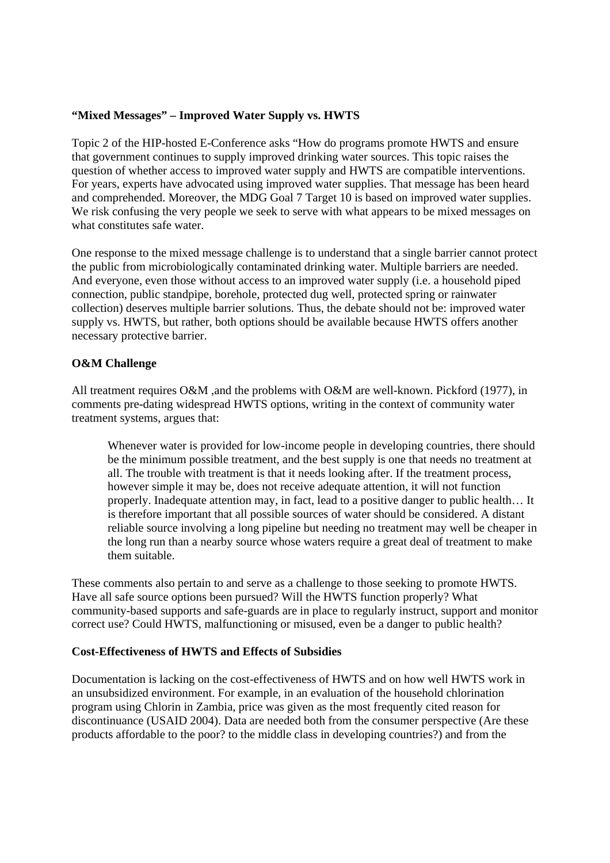## **"Mixed Messages" – Improved Water Supply vs. HWTS**

Topic 2 of the HIP-hosted E-Conference asks "How do programs promote HWTS and ensure that government continues to supply improved drinking water sources. This topic raises the question of whether access to improved water supply and HWTS are compatible interventions. For years, experts have advocated using improved water supplies. That message has been heard and comprehended. Moreover, the MDG Goal 7 Target 10 is based on improved water supplies. We risk confusing the very people we seek to serve with what appears to be mixed messages on what constitutes safe water.

One response to the mixed message challenge is to understand that a single barrier cannot protect the public from microbiologically contaminated drinking water. Multiple barriers are needed. And everyone, even those without access to an improved water supply (i.e. a household piped connection, public standpipe, borehole, protected dug well, protected spring or rainwater collection) deserves multiple barrier solutions. Thus, the debate should not be: improved water supply vs. HWTS, but rather, both options should be available because HWTS offers another necessary protective barrier.

### **O&M Challenge**

All treatment requires O&M ,and the problems with O&M are well-known. Pickford (1977), in comments pre-dating widespread HWTS options, writing in the context of community water treatment systems, argues that:

Whenever water is provided for low-income people in developing countries, there should be the minimum possible treatment, and the best supply is one that needs no treatment at all. The trouble with treatment is that it needs looking after. If the treatment process, however simple it may be, does not receive adequate attention, it will not function properly. Inadequate attention may, in fact, lead to a positive danger to public health… It is therefore important that all possible sources of water should be considered. A distant reliable source involving a long pipeline but needing no treatment may well be cheaper in the long run than a nearby source whose waters require a great deal of treatment to make them suitable.

These comments also pertain to and serve as a challenge to those seeking to promote HWTS. Have all safe source options been pursued? Will the HWTS function properly? What community-based supports and safe-guards are in place to regularly instruct, support and monitor correct use? Could HWTS, malfunctioning or misused, even be a danger to public health?

### **Cost-Effectiveness of HWTS and Effects of Subsidies**

Documentation is lacking on the cost-effectiveness of HWTS and on how well HWTS work in an unsubsidized environment. For example, in an evaluation of the household chlorination program using Chlorin in Zambia, price was given as the most frequently cited reason for discontinuance (USAID 2004). Data are needed both from the consumer perspective (Are these products affordable to the poor? to the middle class in developing countries?) and from the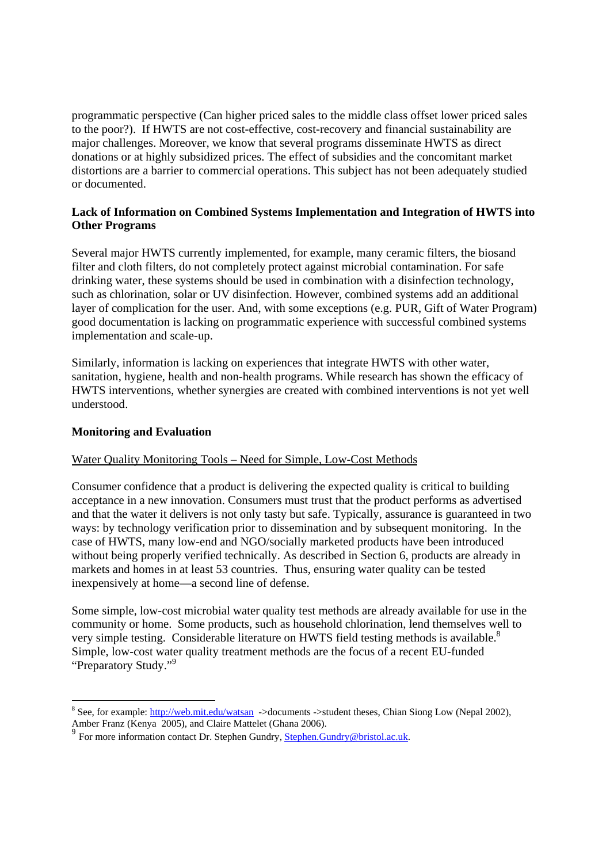programmatic perspective (Can higher priced sales to the middle class offset lower priced sales to the poor?). If HWTS are not cost-effective, cost-recovery and financial sustainability are major challenges. Moreover, we know that several programs disseminate HWTS as direct donations or at highly subsidized prices. The effect of subsidies and the concomitant market distortions are a barrier to commercial operations. This subject has not been adequately studied or documented.

## **Lack of Information on Combined Systems Implementation and Integration of HWTS into Other Programs**

Several major HWTS currently implemented, for example, many ceramic filters, the biosand filter and cloth filters, do not completely protect against microbial contamination. For safe drinking water, these systems should be used in combination with a disinfection technology, such as chlorination, solar or UV disinfection. However, combined systems add an additional layer of complication for the user. And, with some exceptions (e.g. PUR, Gift of Water Program) good documentation is lacking on programmatic experience with successful combined systems implementation and scale-up.

Similarly, information is lacking on experiences that integrate HWTS with other water, sanitation, hygiene, health and non-health programs. While research has shown the efficacy of HWTS interventions, whether synergies are created with combined interventions is not yet well understood.

### **Monitoring and Evaluation**

#### Water Quality Monitoring Tools – Need for Simple, Low-Cost Methods

Consumer confidence that a product is delivering the expected quality is critical to building acceptance in a new innovation. Consumers must trust that the product performs as advertised and that the water it delivers is not only tasty but safe. Typically, assurance is guaranteed in two ways: by technology verification prior to dissemination and by subsequent monitoring. In the case of HWTS, many low-end and NGO/socially marketed products have been introduced without being properly verified technically. As described in Section 6, products are already in markets and homes in at least 53 countries. Thus, ensuring water quality can be tested inexpensively at home—a second line of defense.

Some simple, low-cost microbial water quality test methods are already available for use in the community or home. Some products, such as household chlorination, lend themselves well to very simple testing. Considerable literature on HWTS field testing methods is available.<sup>8</sup> Simple, low-cost water quality treatment methods are the focus of a recent EU-funded "Preparatory Study."9

<sup>&</sup>lt;sup>8</sup> See, for example: http://web.mit.edu/watsan ->documents ->student theses, Chian Siong Low (Nepal 2002), Amber Franz (Kenya 2005), and Claire Mattelet (Ghana 2006).

<sup>&</sup>lt;sup>9</sup> For more information contact Dr. Stephen Gundry, Stephen.Gundry@bristol.ac.uk.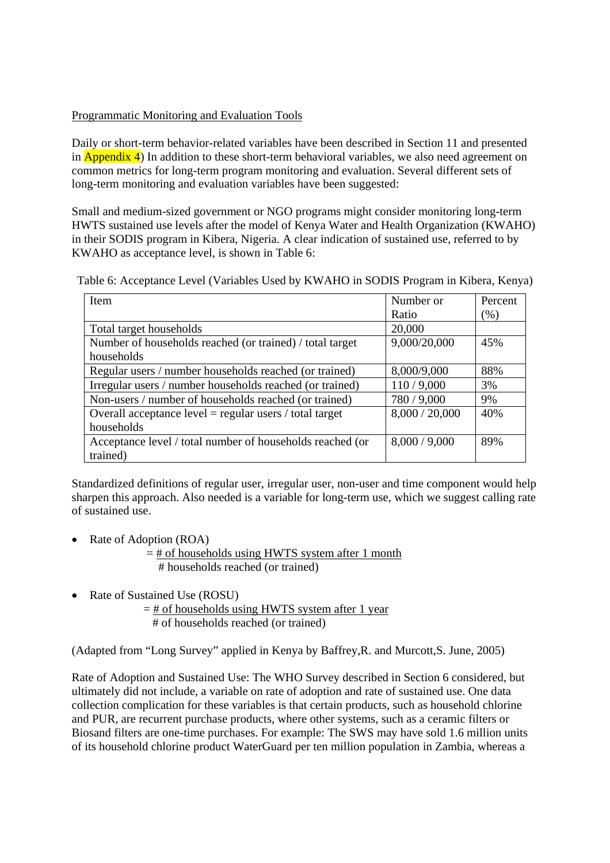## Programmatic Monitoring and Evaluation Tools

Daily or short-term behavior-related variables have been described in Section 11 and presented in  $\Delta$ ppendix 4) In addition to these short-term behavioral variables, we also need agreement on common metrics for long-term program monitoring and evaluation. Several different sets of long-term monitoring and evaluation variables have been suggested:

Small and medium-sized government or NGO programs might consider monitoring long-term HWTS sustained use levels after the model of Kenya Water and Health Organization (KWAHO) in their SODIS program in Kibera, Nigeria. A clear indication of sustained use, referred to by KWAHO as acceptance level, is shown in Table 6:

| Table 6: Acceptance Level (Variables Used by KWAHO in SODIS Program in Kibera, Kenya) |  |  |
|---------------------------------------------------------------------------------------|--|--|
|                                                                                       |  |  |

| Item                                                      | Number or      | Percent |
|-----------------------------------------------------------|----------------|---------|
|                                                           | Ratio          | (% )    |
| Total target households                                   | 20,000         |         |
| Number of households reached (or trained) / total target  | 9,000/20,000   | 45%     |
| households                                                |                |         |
| Regular users / number households reached (or trained)    | 8,000/9,000    | 88%     |
| Irregular users / number households reached (or trained)  | 110/9,000      | 3%      |
| Non-users / number of households reached (or trained)     | 780 / 9,000    | 9%      |
| Overall acceptance $level = regular users / total target$ | 8,000 / 20,000 | 40%     |
| households                                                |                |         |
| Acceptance level / total number of households reached (or | 8,000 / 9,000  | 89%     |
| trained)                                                  |                |         |

Standardized definitions of regular user, irregular user, non-user and time component would help sharpen this approach. Also needed is a variable for long-term use, which we suggest calling rate of sustained use.

Rate of Adoption (ROA)

 $=$  # of households using HWTS system after 1 month # households reached (or trained)

• Rate of Sustained Use (ROSU)

 $=$  # of households using HWTS system after 1 year # of households reached (or trained)

(Adapted from "Long Survey" applied in Kenya by Baffrey,R. and Murcott,S. June, 2005)

Rate of Adoption and Sustained Use: The WHO Survey described in Section 6 considered, but ultimately did not include, a variable on rate of adoption and rate of sustained use. One data collection complication for these variables is that certain products, such as household chlorine and PUR, are recurrent purchase products, where other systems, such as a ceramic filters or Biosand filters are one-time purchases. For example: The SWS may have sold 1.6 million units of its household chlorine product WaterGuard per ten million population in Zambia, whereas a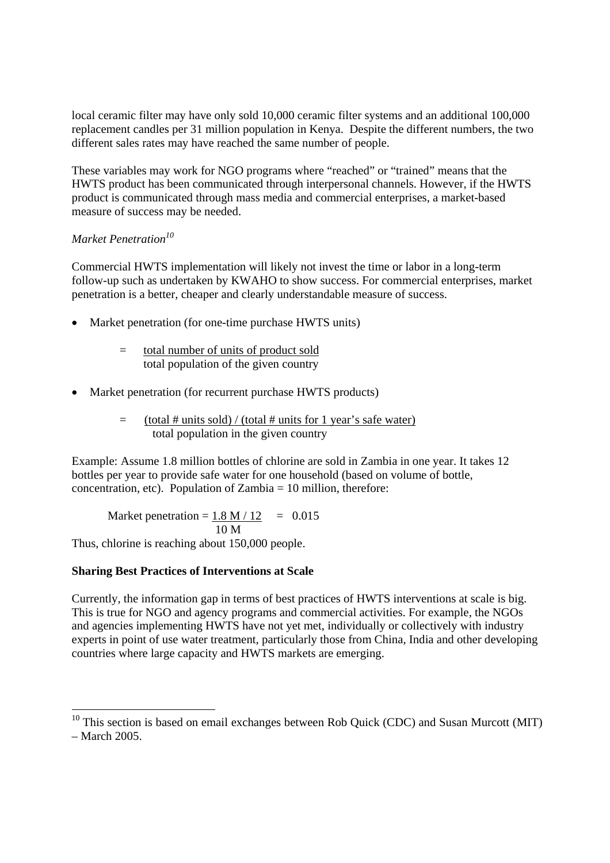local ceramic filter may have only sold 10,000 ceramic filter systems and an additional 100,000 replacement candles per 31 million population in Kenya. Despite the different numbers, the two different sales rates may have reached the same number of people.

These variables may work for NGO programs where "reached" or "trained" means that the HWTS product has been communicated through interpersonal channels. However, if the HWTS product is communicated through mass media and commercial enterprises, a market-based measure of success may be needed.

## *Market Penetration10*

-

Commercial HWTS implementation will likely not invest the time or labor in a long-term follow-up such as undertaken by KWAHO to show success. For commercial enterprises, market penetration is a better, cheaper and clearly understandable measure of success.

- Market penetration (for one-time purchase HWTS units)
	- = total number of units of product sold total population of the given country
- Market penetration (for recurrent purchase HWTS products)
	- $=$  (total # units sold) / (total # units for 1 year's safe water) total population in the given country

Example: Assume 1.8 million bottles of chlorine are sold in Zambia in one year. It takes 12 bottles per year to provide safe water for one household (based on volume of bottle, concentration, etc). Population of Zambia  $= 10$  million, therefore:

Market penetration =  $1.8 \text{ M} / 12 = 0.015$ 10 M

Thus, chlorine is reaching about 150,000 people.

### **Sharing Best Practices of Interventions at Scale**

Currently, the information gap in terms of best practices of HWTS interventions at scale is big. This is true for NGO and agency programs and commercial activities. For example, the NGOs and agencies implementing HWTS have not yet met, individually or collectively with industry experts in point of use water treatment, particularly those from China, India and other developing countries where large capacity and HWTS markets are emerging.

 $10$  This section is based on email exchanges between Rob Quick (CDC) and Susan Murcott (MIT) – March 2005.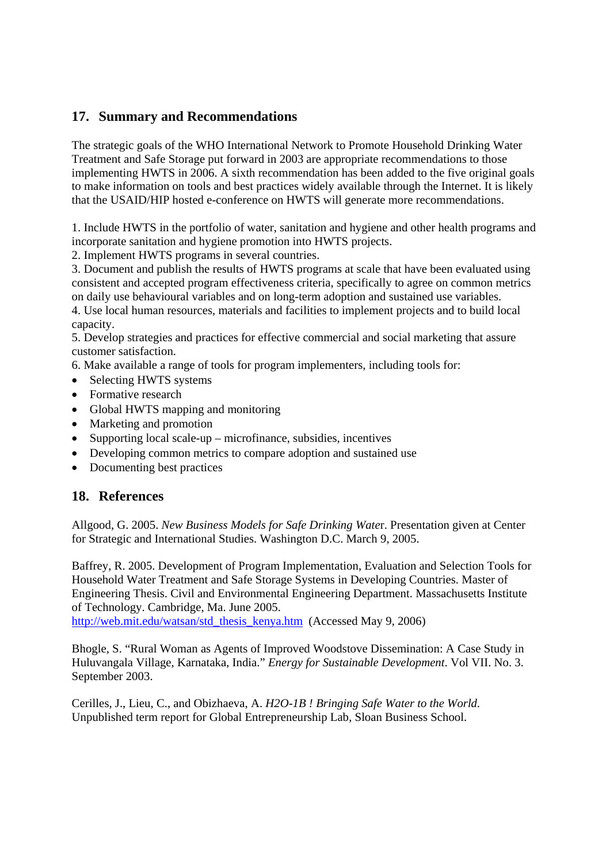# **17. Summary and Recommendations**

The strategic goals of the WHO International Network to Promote Household Drinking Water Treatment and Safe Storage put forward in 2003 are appropriate recommendations to those implementing HWTS in 2006. A sixth recommendation has been added to the five original goals to make information on tools and best practices widely available through the Internet. It is likely that the USAID/HIP hosted e-conference on HWTS will generate more recommendations.

1. Include HWTS in the portfolio of water, sanitation and hygiene and other health programs and incorporate sanitation and hygiene promotion into HWTS projects.

2. Implement HWTS programs in several countries.

3. Document and publish the results of HWTS programs at scale that have been evaluated using consistent and accepted program effectiveness criteria, specifically to agree on common metrics on daily use behavioural variables and on long-term adoption and sustained use variables.

4. Use local human resources, materials and facilities to implement projects and to build local capacity.

5. Develop strategies and practices for effective commercial and social marketing that assure customer satisfaction.

6. Make available a range of tools for program implementers, including tools for:

- Selecting HWTS systems
- Formative research
- Global HWTS mapping and monitoring
- Marketing and promotion
- Supporting local scale-up microfinance, subsidies, incentives
- Developing common metrics to compare adoption and sustained use
- Documenting best practices

# **18. References**

Allgood, G. 2005. *New Business Models for Safe Drinking Wate*r. Presentation given at Center for Strategic and International Studies. Washington D.C. March 9, 2005.

Baffrey, R. 2005. Development of Program Implementation, Evaluation and Selection Tools for Household Water Treatment and Safe Storage Systems in Developing Countries. Master of Engineering Thesis. Civil and Environmental Engineering Department. Massachusetts Institute of Technology. Cambridge, Ma. June 2005.

http://web.mit.edu/watsan/std\_thesis\_kenya.htm (Accessed May 9, 2006)

Bhogle, S. "Rural Woman as Agents of Improved Woodstove Dissemination: A Case Study in Huluvangala Village, Karnataka, India." *Energy for Sustainable Development*. Vol VII. No. 3. September 2003.

Cerilles, J., Lieu, C., and Obizhaeva, A. *H2O-1B ! Bringing Safe Water to the World.*  Unpublished term report for Global Entrepreneurship Lab, Sloan Business School.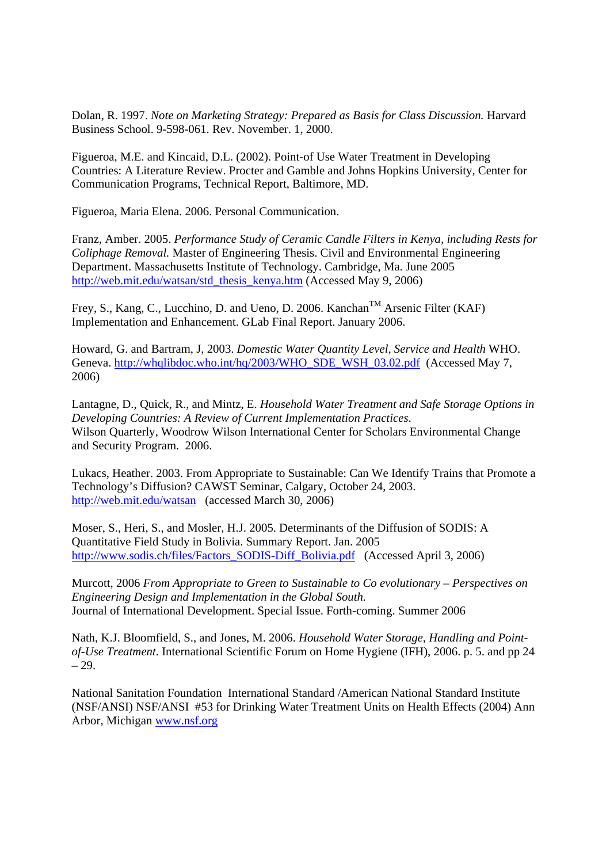Dolan, R. 1997. *Note on Marketing Strategy: Prepared as Basis for Class Discussion.* Harvard Business School. 9-598-061. Rev. November. 1, 2000.

Figueroa, M.E. and Kincaid, D.L. (2002). Point-of Use Water Treatment in Developing Countries: A Literature Review. Procter and Gamble and Johns Hopkins University, Center for Communication Programs, Technical Report, Baltimore, MD.

Figueroa, Maria Elena. 2006. Personal Communication.

Franz, Amber. 2005. *Performance Study of Ceramic Candle Filters in Kenya, including Rests for Coliphage Removal.* Master of Engineering Thesis. Civil and Environmental Engineering Department. Massachusetts Institute of Technology. Cambridge, Ma. June 2005 http://web.mit.edu/watsan/std\_thesis\_kenya.htm (Accessed May 9, 2006)

Frey, S., Kang, C., Lucchino, D. and Ueno, D. 2006. Kanchan<sup>TM</sup> Arsenic Filter (KAF) Implementation and Enhancement. GLab Final Report. January 2006.

Howard, G. and Bartram, J, 2003. *Domestic Water Quantity Level, Service and Health* WHO. Geneva. http://whqlibdoc.who.int/hq/2003/WHO\_SDE\_WSH\_03.02.pdf (Accessed May 7, 2006)

Lantagne, D., Quick, R., and Mintz, E. *Household Water Treatment and Safe Storage Options in Developing Countries: A Review of Current Implementation Practices*. Wilson Quarterly, Woodrow Wilson International Center for Scholars Environmental Change and Security Program. 2006.

Lukacs, Heather. 2003. From Appropriate to Sustainable: Can We Identify Trains that Promote a Technology's Diffusion? CAWST Seminar, Calgary, October 24, 2003. http://web.mit.edu/watsan (accessed March 30, 2006)

Moser, S., Heri, S., and Mosler, H.J. 2005. Determinants of the Diffusion of SODIS: A Quantitative Field Study in Bolivia. Summary Report. Jan. 2005 http://www.sodis.ch/files/Factors\_SODIS-Diff\_Bolivia.pdf (Accessed April 3, 2006)

Murcott, 2006 *From Appropriate to Green to Sustainable to Co evolutionary – Perspectives on Engineering Design and Implementation in the Global South.* Journal of International Development. Special Issue. Forth-coming. Summer 2006

Nath, K.J. Bloomfield, S., and Jones, M. 2006. *Household Water Storage, Handling and Pointof-Use Treatment*. International Scientific Forum on Home Hygiene (IFH), 2006. p. 5. and pp 24 – 29.

National Sanitation Foundation International Standard /American National Standard Institute (NSF/ANSI) NSF/ANSI #53 for Drinking Water Treatment Units on Health Effects (2004) Ann Arbor, Michigan www.nsf.org